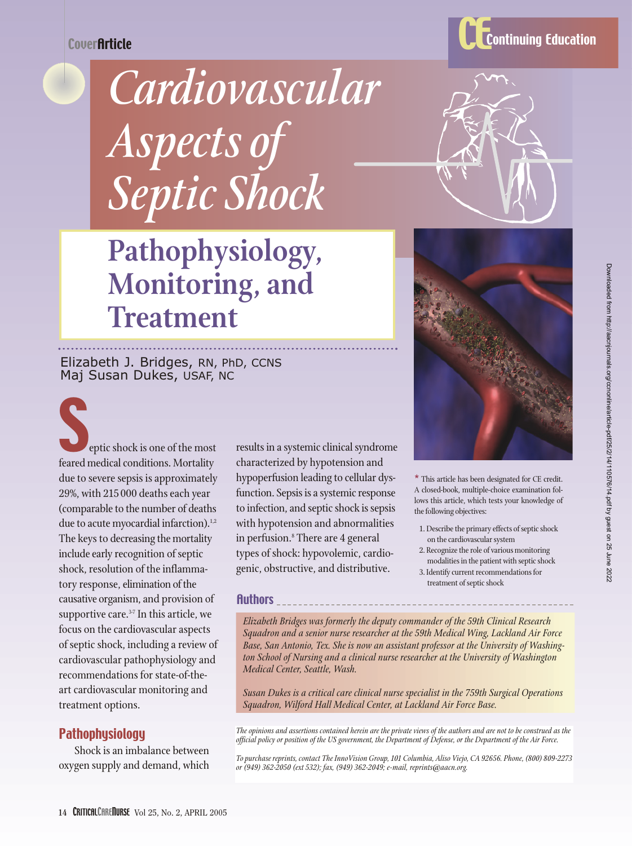**CoverArticle** 

# *Cardiovascular Aspects of Septic Shock*

## **Pathophysiology, Monitoring, and Treatment**

Elizabeth J. Bridges, RN, PhD, CCNS Maj Susan Dukes, USAF, NC

eptic shock is one of the most feared medical conditions. Mortality due to severe sepsis is approximately 29%, with 215 000 deaths each year (comparable to the number of deaths due to acute myocardial infarction).<sup>1,2</sup> The keys to decreasing the mortality include early recognition of septic shock, resolution of the inflammatory response, elimination of the causative organism, and provision of supportive care. $37$  In this article, we focus on the cardiovascular aspects of septic shock, including a review of cardiovascular pathophysiology and recommendations for state-of-theart cardiovascular monitoring and treatment options.

#### **Pathophysiology**

Shock is an imbalance between oxygen supply and demand, which results in a systemic clinical syndrome characterized by hypotension and hypoperfusion leading to cellular dysfunction. Sepsis is a systemic response to infection, and septic shock is sepsis with hypotension and abnormalities in perfusion.<sup>8</sup> There are 4 general types of shock: hypovolemic, cardiogenic, obstructive, and distributive.

Authors



\* This article has been designated for CE credit. A closed-book, multiple-choice examination follows this article, which tests your knowledge of the following objectives:

- 1. Describe the primary effects of septic shock on the cardiovascular system
- 2. Recognize the role of various monitoring modalities in the patient with septic shock
- 3. Identify current recommendations for treatment of septic shock

*Elizabeth Bridges was formerly the deputy commander of the 59th Clinical Research Squadron and a senior nurse researcher at the 59th Medical Wing, Lackland Air Force Base, San Antonio, Tex. She is now an assistant professor at the University of Washington School of Nursing and a clinical nurse researcher at the University of Washington Medical Center, Seattle, Wash.*

*Susan Dukes is a critical care clinical nurse specialist in the 759th Surgical Operations Squadron, Wilford Hall Medical Center, at Lackland Air Force Base.*

*The opinions and assertions contained herein are the private views of the authors and are not to be construed as the official policy or position of the US government, the Department of Defense, or the Department of the Air Force.*

*To purchase reprints, contact The InnoVision Group, 101 Columbia, Aliso Viejo, CA 92656. Phone, (800) 809-2273 or (949) 362-2050 (ext 532); fax, (949) 362-2049; e-mail, reprints@aacn.org.*

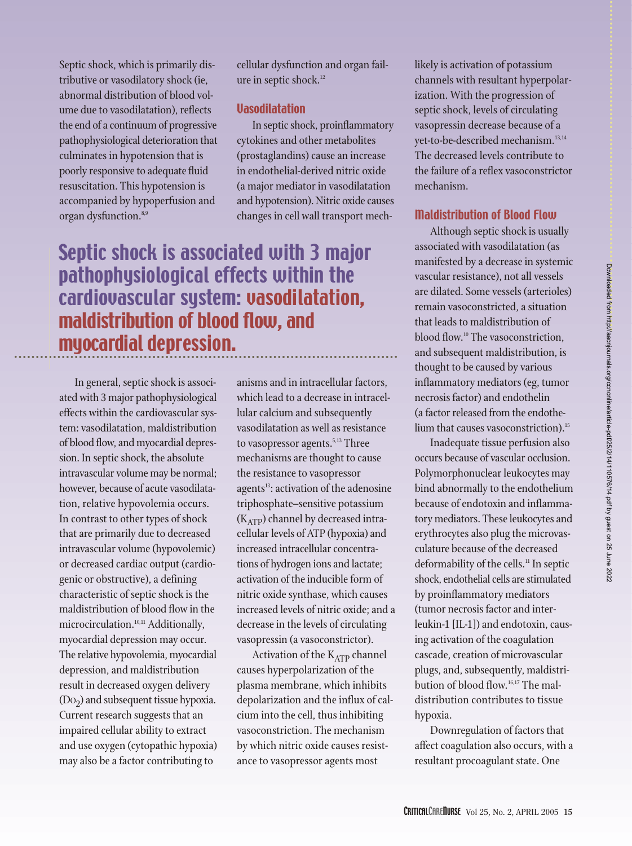Septic shock, which is primarily distributive or vasodilatory shock (ie, abnormal distribution of blood volume due to vasodilatation), reflects the end of a continuum of progressive pathophysiological deterioration that culminates in hypotension that is poorly responsive to adequate fluid resuscitation. This hypotension is accompanied by hypoperfusion and organ dysfunction.<sup>8,9</sup>

cellular dysfunction and organ failure in septic shock.<sup>12</sup>

#### Vasodilatation

In septic shock, proinflammatory cytokines and other metabolites (prostaglandins) cause an increase in endothelial-derived nitric oxide (a major mediator in vasodilatation and hypotension). Nitric oxide causes changes in cell wall transport mech-

## Septic shock is associated with 3 major pathophysiological effects within the cardiovascular system: vasodilatation, maldistribution of blood flow, and myocardial depression.

In general, septic shock is associated with 3 major pathophysiological effects within the cardiovascular system: vasodilatation, maldistribution of blood flow, and myocardial depression. In septic shock, the absolute intravascular volume may be normal; however, because of acute vasodilatation, relative hypovolemia occurs. In contrast to other types of shock that are primarily due to decreased intravascular volume (hypovolemic) or decreased cardiac output (cardiogenic or obstructive), a defining characteristic of septic shock is the maldistribution of blood flow in the microcirculation.<sup>10,11</sup> Additionally, myocardial depression may occur. The relative hypovolemia, myocardial depression, and maldistribution result in decreased oxygen delivery  $(Do<sub>2</sub>)$  and subsequent tissue hypoxia. Current research suggests that an impaired cellular ability to extract and use oxygen (cytopathic hypoxia) may also be a factor contributing to

anisms and in intracellular factors, which lead to a decrease in intracellular calcium and subsequently vasodilatation as well as resistance to vasopressor agents.<sup>5,13</sup> Three mechanisms are thought to cause the resistance to vasopressor agents<sup>13</sup>: activation of the adenosine triphosphate–sensitive potassium  $(K_{ATP})$  channel by decreased intracellular levels of ATP (hypoxia) and increased intracellular concentrations of hydrogen ions and lactate; activation of the inducible form of nitric oxide synthase, which causes increased levels of nitric oxide; and a decrease in the levels of circulating vasopressin (a vasoconstrictor).

Activation of the  $K_{ATP}$  channel causes hyperpolarization of the plasma membrane, which inhibits depolarization and the influx of calcium into the cell, thus inhibiting vasoconstriction. The mechanism by which nitric oxide causes resistance to vasopressor agents most

likely is activation of potassium channels with resultant hyperpolarization. With the progression of septic shock, levels of circulating vasopressin decrease because of a yet-to-be-described mechanism.<sup>13,14</sup> The decreased levels contribute to the failure of a reflex vasoconstrictor mechanism.

#### Maldistribution of Blood Flow

Although septic shock is usually associated with vasodilatation (as manifested by a decrease in systemic vascular resistance), not all vessels are dilated. Some vessels (arterioles) remain vasoconstricted, a situation that leads to maldistribution of blood flow.<sup>10</sup> The vasoconstriction, and subsequent maldistribution, is thought to be caused by various inflammatory mediators (eg, tumor necrosis factor) and endothelin (a factor released from the endothelium that causes vasoconstriction).<sup>15</sup>

Inadequate tissue perfusion also occurs because of vascular occlusion. Polymorphonuclear leukocytes may bind abnormally to the endothelium because of endotoxin and inflammatory mediators. These leukocytes and erythrocytes also plug the microvasculature because of the decreased deformability of the cells.<sup>11</sup> In septic shock, endothelial cells are stimulated by proinflammatory mediators (tumor necrosis factor and interleukin-1 [IL-1]) and endotoxin, causing activation of the coagulation cascade, creation of microvascular plugs, and, subsequently, maldistribution of blood flow.16,17 The maldistribution contributes to tissue hypoxia.

Downregulation of factors that affect coagulation also occurs, with a resultant procoagulant state. One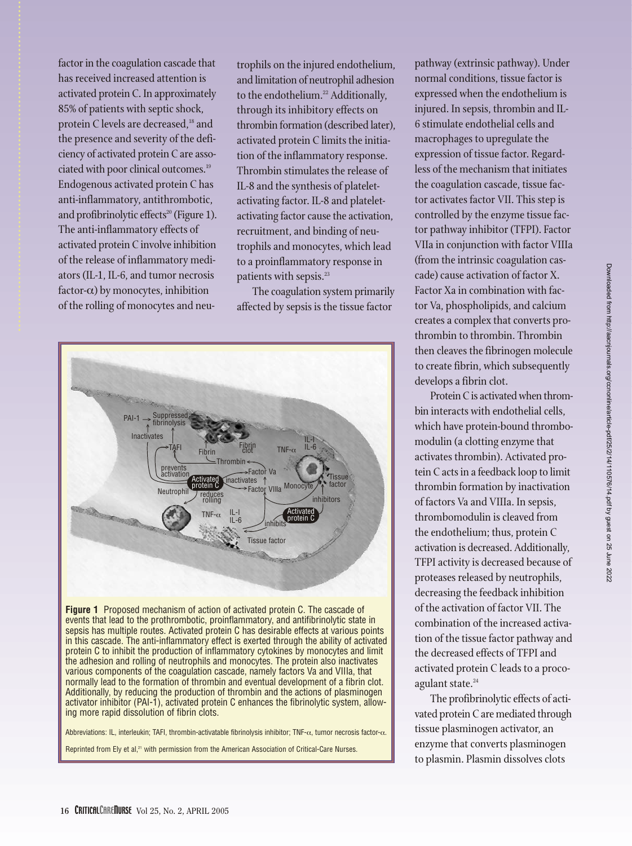factor in the coagulation cascade that has received increased attention is activated protein C. In approximately 85% of patients with septic shock, protein C levels are decreased,<sup>18</sup> and the presence and severity of the deficiency of activated protein C are associated with poor clinical outcomes.<sup>19</sup> Endogenous activated protein C has anti-inflammatory, antithrombotic, and profibrinolytic effects<sup>20</sup> (Figure 1). The anti-inflammatory effects of activated protein C involve inhibition of the release of inflammatory mediators (IL-1, IL-6, and tumor necrosis factor- $\alpha$ ) by monocytes, inhibition of the rolling of monocytes and neutrophils on the injured endothelium, and limitation of neutrophil adhesion to the endothelium.<sup>22</sup> Additionally, through its inhibitory effects on thrombin formation (described later), activated protein C limits the initiation of the inflammatory response. Thrombin stimulates the release of IL-8 and the synthesis of plateletactivating factor. IL-8 and plateletactivating factor cause the activation, recruitment, and binding of neutrophils and monocytes, which lead to a proinflammatory response in patients with sepsis.<sup>23</sup>

The coagulation system primarily affected by sepsis is the tissue factor



Abbreviations: IL, interleukin; TAFI, thrombin-activatable fibrinolysis inhibitor; TNF-α, tumor necrosis factor-α.

Reprinted from Ely et al,<sup>21</sup> with permission from the American Association of Critical-Care Nurses.

pathway (extrinsic pathway). Under normal conditions, tissue factor is expressed when the endothelium is injured. In sepsis, thrombin and IL-6 stimulate endothelial cells and macrophages to upregulate the expression of tissue factor. Regardless of the mechanism that initiates the coagulation cascade, tissue factor activates factor VII. This step is controlled by the enzyme tissue factor pathway inhibitor (TFPI). Factor VIIa in conjunction with factor VIIIa (from the intrinsic coagulation cascade) cause activation of factor X. Factor Xa in combination with factor Va, phospholipids, and calcium creates a complex that converts prothrombin to thrombin. Thrombin then cleaves the fibrinogen molecule to create fibrin, which subsequently develops a fibrin clot.

Protein C is activated when thrombin interacts with endothelial cells, which have protein-bound thrombomodulin (a clotting enzyme that activates thrombin). Activated protein C acts in a feedback loop to limit thrombin formation by inactivation of factors Va and VIIIa. In sepsis, thrombomodulin is cleaved from the endothelium; thus, protein C activation is decreased. Additionally, TFPI activity is decreased because of proteases released by neutrophils, decreasing the feedback inhibition of the activation of factor VII. The combination of the increased activation of the tissue factor pathway and the decreased effects of TFPI and activated protein C leads to a procoagulant state.<sup>24</sup>

The profibrinolytic effects of activated protein C are mediated through tissue plasminogen activator, an enzyme that converts plasminogen to plasmin. Plasmin dissolves clots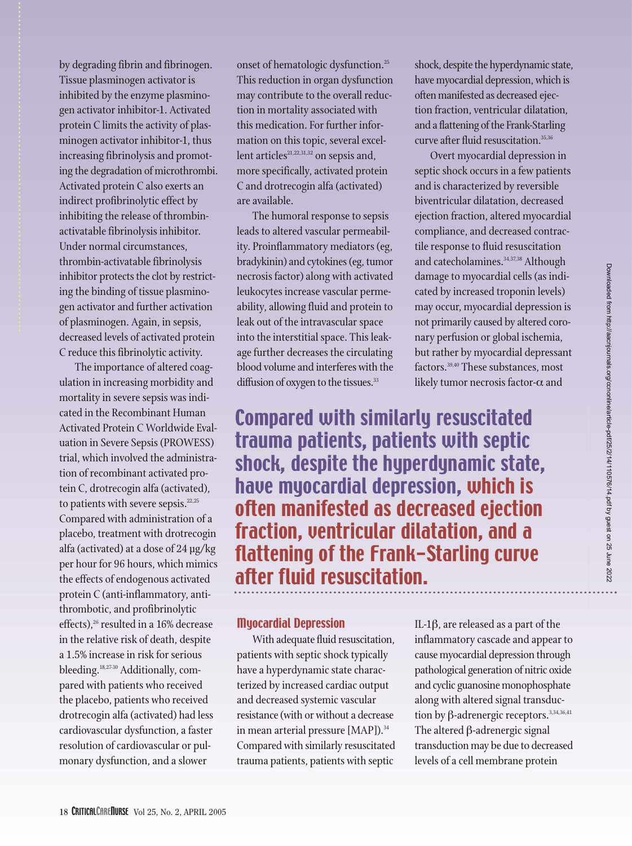by degrading fibrin and fibrinogen. Tissue plasminogen activator is inhibited by the enzyme plasminogen activator inhibitor-1. Activated protein C limits the activity of plasminogen activator inhibitor-1, thus increasing fibrinolysis and promoting the degradation of microthrombi. Activated protein C also exerts an indirect profibrinolytic effect by inhibiting the release of thrombinactivatable fibrinolysis inhibitor. Under normal circumstances, thrombin-activatable fibrinolysis inhibitor protects the clot by restricting the binding of tissue plasminogen activator and further activation of plasminogen. Again, in sepsis, decreased levels of activated protein C reduce this fibrinolytic activity.

The importance of altered coagulation in increasing morbidity and mortality in severe sepsis was indicated in the Recombinant Human Activated Protein C Worldwide Evaluation in Severe Sepsis (PROWESS) trial, which involved the administration of recombinant activated protein C, drotrecogin alfa (activated), to patients with severe sepsis.<sup>22,25</sup> Compared with administration of a placebo, treatment with drotrecogin alfa (activated) at a dose of 24 µg/kg per hour for 96 hours, which mimics the effects of endogenous activated protein C (anti-inflammatory, antithrombotic, and profibrinolytic effects),<sup>26</sup> resulted in a 16% decrease in the relative risk of death, despite a 1.5% increase in risk for serious bleeding.<sup>18,27-30</sup> Additionally, compared with patients who received the placebo, patients who received drotrecogin alfa (activated) had less cardiovascular dysfunction, a faster resolution of cardiovascular or pulmonary dysfunction, and a slower

onset of hematologic dysfunction.<sup>25</sup> This reduction in organ dysfunction may contribute to the overall reduction in mortality associated with this medication. For further information on this topic, several excellent articles<sup>21,22,31,32</sup> on sepsis and, more specifically, activated protein C and drotrecogin alfa (activated) are available.

The humoral response to sepsis leads to altered vascular permeability. Proinflammatory mediators (eg, bradykinin) and cytokines (eg, tumor necrosis factor) along with activated leukocytes increase vascular permeability, allowing fluid and protein to leak out of the intravascular space into the interstitial space. This leakage further decreases the circulating blood volume and interferes with the diffusion of oxygen to the tissues.<sup>33</sup>

shock, despite the hyperdynamic state, have myocardial depression, which is often manifested as decreased ejection fraction, ventricular dilatation, and a flattening of the Frank-Starling curve after fluid resuscitation.<sup>35,36</sup>

Overt myocardial depression in septic shock occurs in a few patients and is characterized by reversible biventricular dilatation, decreased ejection fraction, altered myocardial compliance, and decreased contractile response to fluid resuscitation and catecholamines.<sup>34,37,38</sup> Although damage to myocardial cells (as indicated by increased troponin levels) may occur, myocardial depression is not primarily caused by altered coronary perfusion or global ischemia, but rather by myocardial depressant factors.39,40 These substances, most likely tumor necrosis factor- $\alpha$  and

Compared with similarly resuscitated trauma patients, patients with septic shock, despite the hyperdynamic state, have myocardial depression, which is often manifested as decreased ejection fraction, ventricular dilatation, and a flattening of the Frank-Starling curve after fluid resuscitation.

#### Myocardial Depression

With adequate fluid resuscitation, patients with septic shock typically have a hyperdynamic state characterized by increased cardiac output and decreased systemic vascular resistance (with or without a decrease in mean arterial pressure [MAP]).<sup>34</sup> Compared with similarly resuscitated trauma patients, patients with septic

IL-1β, are released as a part of the inflammatory cascade and appear to cause myocardial depression through pathological generation of nitric oxide and cyclic guanosine monophosphate along with altered signal transduction by β-adrenergic receptors.<sup>3,34,36,41</sup> The altered β-adrenergic signal transduction may be due to decreased levels of a cell membrane protein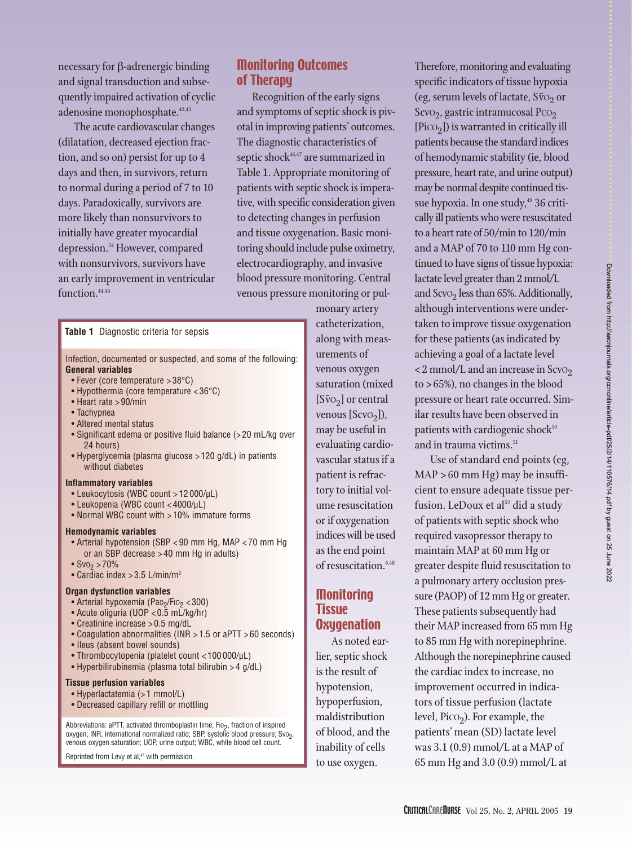necessary for β-adrenergic binding and signal transduction and subsequently impaired activation of cyclic adenosine monophosphate.  $42,43$ 

The acute cardiovascular changes (dilatation, decreased ejection fraction, and so on) persist for up to 4 days and then, in survivors, return to normal during a period of 7 to 10 days. Paradoxically, survivors are more likely than nonsurvivors to initially have greater myocardial depression.34 However, compared with nonsurvivors, survivors have an early improvement in ventricular function.<sup>44,45</sup>

#### Monitoring Outcomes of Therapy

Recognition of the early signs and symptoms of septic shock is pivotal in improving patients' outcomes. The diagnostic characteristics of septic shock<sup>46,47</sup> are summarized in Table 1. Appropriate monitoring of patients with septic shock is imperative, with specific consideration given to detecting changes in perfusion and tissue oxygenation. Basic monitoring should include pulse oximetry, electrocardiography, and invasive blood pressure monitoring. Central venous pressure monitoring or pul-

#### **Table 1** Diagnostic criteria for sepsis

Infection, documented or suspected, and some of the following: **General variables**

- Fever (core temperature > 38°C)
- Hypothermia (core temperature < 36°C)
- Heart rate > 90/min
- Tachypnea
- Altered mental status
- Significant edema or positive fluid balance (> 20 mL/kg over 24 hours)
- Hyperglycemia (plasma glucose > 120 g/dL) in patients without diabetes

#### **Inflammatory variables**

- Leukocytosis (WBC count > 12 000/µL)
- Leukopenia (WBC count < 4000/µL)
- Normal WBC count with > 10% immature forms

#### **Hemodynamic variables**

- Arterial hypotension (SBP < 90 mm Hg, MAP < 70 mm Hg or an SBP decrease > 40 mm Hg in adults)
- $Sv0<sub>2</sub> > 70%$
- Cardiac index > 3.5 L/min/m2

#### **Organ dysfunction variables**

- Arterial hypoxemia (Pao<sub>2</sub>/Fio<sub>2</sub> < 300)
- Acute oliguria (UOP < 0.5 mL/kg/hr)
- Creatinine increase > 0.5 mg/dL
- Coagulation abnormalities (INR > 1.5 or aPTT > 60 seconds)
- Ileus (absent bowel sounds)
- Thrombocytopenia (platelet count < 100 000/µL)
- Hyperbilirubinemia (plasma total bilirubin > 4 g/dL)

#### **Tissue perfusion variables**

- Hyperlactatemia (> 1 mmol/L)
- Decreased capillary refill or mottling

Abbreviations: aPTT, activated thromboplastin time; F10<sub>2</sub>, fraction of inspired<br>oxygen; INR, international normalized ratio; SBP, systolic blood pressure; Sv0<sub>2</sub>, venous oxygen saturation; UOP, urine output; WBC, white blood cell count.

Reprinted from Levy et al,<sup>47</sup> with permission.

monary artery catheterization, along with measurements of venous oxygen saturation (mixed  $[S\bar{v}o_2]$  or central venous  $[Scvo<sub>2</sub>]$ ), may be useful in evaluating cardiovascular status if a patient is refractory to initial volume resuscitation or if oxygenation indices will be used as the end point of resuscitation.<sup>6,48</sup>

#### Monitoring Tissue **Oxugenation**

As noted earlier, septic shock is the result of hypotension, hypoperfusion, maldistribution of blood, and the inability of cells to use oxygen.

Therefore, monitoring and evaluating specific indicators of tissue hypoxia (eg, serum levels of lactate,  $S\bar{v}o<sub>2</sub>$  or Scv $O_2$ , gastric intramucosal Pc $O_2$  $[Pico<sub>2</sub>]$ ) is warranted in critically ill patients because the standard indices of hemodynamic stability (ie, blood pressure, heart rate, and urine output) may be normal despite continued tissue hypoxia. In one study,<sup>49</sup> 36 critically ill patients who were resuscitated to a heart rate of 50/min to 120/min and a MAP of 70 to 110 mm Hg continued to have signs of tissue hypoxia: lactate level greater than 2 mmol/L and ScvO<sub>2</sub> less than 65%. Additionally, although interventions were undertaken to improve tissue oxygenation for these patients (as indicated by achieving a goal of a lactate level  $\langle 2 \text{mmol/L} \rangle$  and an increase in Scvo<sub>2</sub> to > 65%), no changes in the blood pressure or heart rate occurred. Similar results have been observed in patients with cardiogenic shock<sup>50</sup> and in trauma victims.<sup>51</sup>

Use of standard end points (eg, MAP > 60 mm Hg) may be insufficient to ensure adequate tissue perfusion. LeDoux et al<sup>52</sup> did a study of patients with septic shock who required vasopressor therapy to maintain MAP at 60 mm Hg or greater despite fluid resuscitation to a pulmonary artery occlusion pressure (PAOP) of 12 mm Hg or greater. These patients subsequently had their MAP increased from 65 mm Hg to 85 mm Hg with norepinephrine. Although the norepinephrine caused the cardiac index to increase, no improvement occurred in indicators of tissue perfusion (lactate level,  $Pic_{2}$ ). For example, the patients' mean (SD) lactate level was 3.1 (0.9) mmol/L at a MAP of 65 mm Hg and 3.0 (0.9) mmol/L at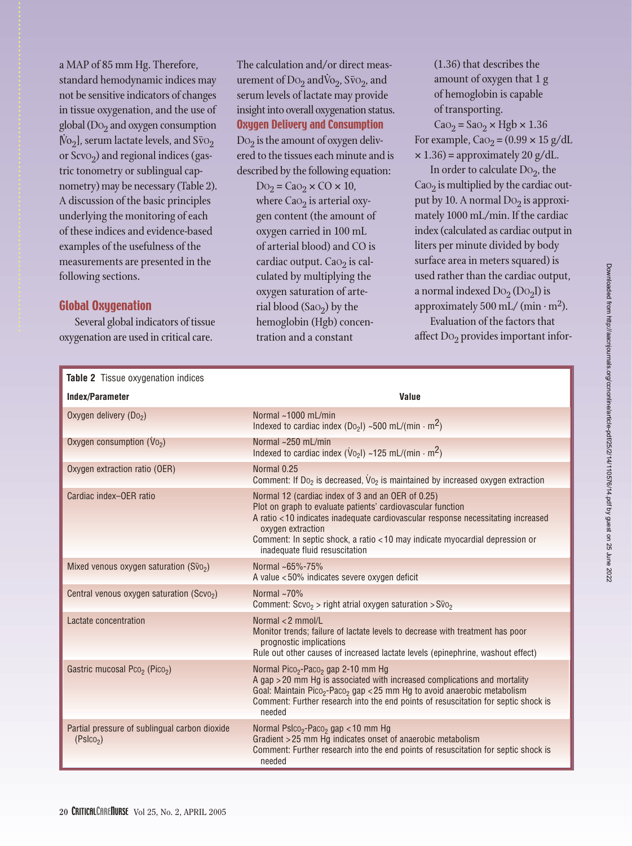a MAP of 85 mm Hg. Therefore, standard hemodynamic indices may not be sensitive indicators of changes in tissue oxygenation, and the use of global ( $Do<sub>2</sub>$  and oxygen consumption <sup>[</sup> .<br>.<br>.  $\rm{No}_2$ ], serum lactate levels, and  $\rm{S\bar{v}O}_2$ or Scv $o_2$ ) and regional indices (gastric tonometry or sublingual capnometry) may be necessary (Table 2). A discussion of the basic principles underlying the monitoring of each of these indices and evidence-based examples of the usefulness of the measurements are presented in the following sections.

#### Global Oxygenation

Several global indicators of tissue oxygenation are used in critical care.

The calculation and/or direct measurement of  $Do_2$  and  $Vo_2$ ,  $S\bar{vo}_2$ , and serum levels of lactate may provide insight into overall oxygenation status. Oxygen Delivery and Consumption

 $Do<sub>2</sub>$  is the amount of oxygen delivered to the tissues each minute and is described by the following equation:

> $Do_2 = Cao_2 \times CO \times 10$ , where  $CaO<sub>2</sub>$  is arterial oxygen content (the amount of oxygen carried in 100 mL of arterial blood) and CO is cardiac output. Ca $O<sub>2</sub>$  is calculated by multiplying the oxygen saturation of arterial blood (Sa $O_2$ ) by the hemoglobin (Hgb) concentration and a constant

(1.36) that describes the amount of oxygen that 1 g of hemoglobin is capable of transporting.

 $CaO<sub>2</sub> = SaO<sub>2</sub> \times Hgb \times 1.36$ For example,  $CaO<sub>2</sub> = (0.99 \times 15 \text{ g/dL})$  $\times$  1.36) = approximately 20 g/dL.

In order to calculate  $Do_2$ , the Ca $\Omega$ <sub>2</sub> is multiplied by the cardiac output by 10. A normal  $Do_2$  is approximately 1000 mL/min. If the cardiac index (calculated as cardiac output in liters per minute divided by body surface area in meters squared) is used rather than the cardiac output, a normal indexed  $Do_2 (Do_2 I)$  is approximately 500 mL/ (min  $\cdot$  m<sup>2</sup>).

Evaluation of the factors that affect  $Do_2$  provides important infor-

| Table 2 Tissue oxygenation indices                                     |                                                                                                                                                                                                                                                                                                                                             |  |  |  |  |  |  |
|------------------------------------------------------------------------|---------------------------------------------------------------------------------------------------------------------------------------------------------------------------------------------------------------------------------------------------------------------------------------------------------------------------------------------|--|--|--|--|--|--|
| Index/Parameter                                                        | Value                                                                                                                                                                                                                                                                                                                                       |  |  |  |  |  |  |
| Oxygen delivery (Do <sub>2</sub> )                                     | Normal ~1000 mL/min<br>Indexed to cardiac index (D <sub>02</sub> I) ~500 mL/(min $\cdot$ m <sup>2</sup> )                                                                                                                                                                                                                                   |  |  |  |  |  |  |
| Oxygen consumption $(V_0)$                                             | Normal $\sim$ 250 mL/min<br>Indexed to cardiac index ( $\dot{V}$ <sub>02</sub> l) ~125 mL/(min $\cdot$ m <sup>2</sup> )                                                                                                                                                                                                                     |  |  |  |  |  |  |
| Oxygen extraction ratio (OER)                                          | Normal 0.25<br>Comment: If $Do_2$ is decreased, $Vo_2$ is maintained by increased oxygen extraction                                                                                                                                                                                                                                         |  |  |  |  |  |  |
| Cardiac index-OER ratio                                                | Normal 12 (cardiac index of 3 and an OER of 0.25)<br>Plot on graph to evaluate patients' cardiovascular function<br>A ratio <10 indicates inadequate cardiovascular response necessitating increased<br>oxygen extraction<br>Comment: In septic shock, a ratio < 10 may indicate myocardial depression or<br>inadequate fluid resuscitation |  |  |  |  |  |  |
| Mixed venous oxygen saturation $(S\bar{v}o_2)$                         | Normal ~65%-75%<br>A value <50% indicates severe oxygen deficit                                                                                                                                                                                                                                                                             |  |  |  |  |  |  |
| Central venous oxygen saturation (Scvo <sub>2</sub> )                  | Normal $~1$ 70%<br>Comment: $S$ cvo <sub>2</sub> > right atrial oxygen saturation > $S\bar{v}$ <sub>02</sub>                                                                                                                                                                                                                                |  |  |  |  |  |  |
| Lactate concentration                                                  | Normal <2 mmol/L<br>Monitor trends; failure of lactate levels to decrease with treatment has poor<br>prognostic implications<br>Rule out other causes of increased lactate levels (epinephrine, washout effect)                                                                                                                             |  |  |  |  |  |  |
| Gastric mucosal Pco <sub>2</sub> (Pico <sub>2</sub> )                  | Normal Pico <sub>2</sub> -Paco <sub>2</sub> gap 2-10 mm Hg<br>A gap > 20 mm Hg is associated with increased complications and mortality<br>Goal: Maintain Pico <sub>2</sub> -Paco <sub>2</sub> gap < 25 mm Hg to avoid anaerobic metabolism<br>Comment: Further research into the end points of resuscitation for septic shock is<br>needed |  |  |  |  |  |  |
| Partial pressure of sublingual carbon dioxide<br>(Pslco <sub>2</sub> ) | Normal Pslco <sub>2</sub> -Paco <sub>2</sub> gap < 10 mm Hg<br>Gradient > 25 mm Hg indicates onset of anaerobic metabolism<br>Comment: Further research into the end points of resuscitation for septic shock is<br>needed                                                                                                                  |  |  |  |  |  |  |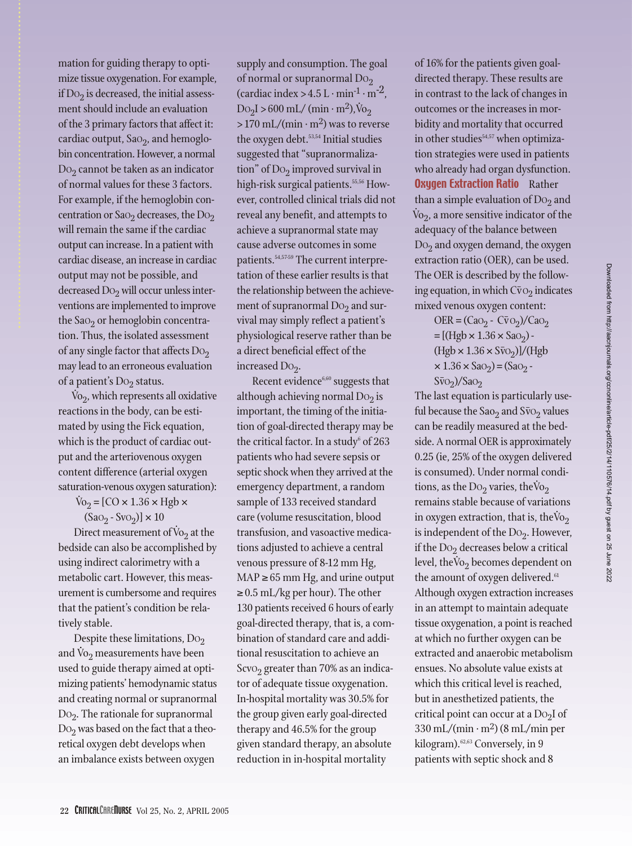mation for guiding therapy to optimize tissue oxygenation. For example, if  $Do<sub>2</sub>$  is decreased, the initial assessment should include an evaluation of the 3 primary factors that affect it: cardiac output,  $Sao<sub>2</sub>$ , and hemoglobin concentration. However, a normal  $Do<sub>2</sub>$  cannot be taken as an indicator of normal values for these 3 factors. For example, if the hemoglobin concentration or Sa $O_2$  decreases, the D $O_2$ will remain the same if the cardiac output can increase. In a patient with cardiac disease, an increase in cardiac output may not be possible, and decreased  $Do_2$  will occur unless interventions are implemented to improve the Sa $O<sub>2</sub>$  or hemoglobin concentration. Thus, the isolated assessment of any single factor that affects  $Do_2$ may lead to an erroneous evaluation of a patient's  $Do_2$  status.

 $\dot{V}_{O<sub>2</sub>}$ , which represents all oxidative reactions in the body, can be estimated by using the Fick equation, which is the product of cardiac output and the arteriovenous oxygen content difference (arterial oxygen saturation-venous oxygen saturation):

> $\text{Vo}_2 = [\text{CO} \times 1.36 \times \text{Hgb} \times$  $(Sao_2 - Svo_2)] \times 10$

Direct measurement of  $\dot{V}o_2$  at the bedside can also be accomplished by using indirect calorimetry with a metabolic cart. However, this measurement is cumbersome and requires that the patient's condition be relatively stable.

Despite these limitations,  $Do_2$  $\frac{1}{2}$  copies these immediately,  $\frac{1}{2}$   $\frac{1}{2}$  and  $\dot{V}$ <sup>2</sup> measurements have been used to guide therapy aimed at optimizing patients' hemodynamic status and creating normal or supranormal  $Do<sub>2</sub>$ . The rationale for supranormal  $Do_2$  was based on the fact that a theoretical oxygen debt develops when an imbalance exists between oxygen

supply and consumption. The goal of normal or supranormal  $Do_2$ (cardiac index  $> 4.5$  L · min<sup>-1</sup> · m<sup>-2</sup>,  $Do_2I > 600$  mL/ (min · m<sup>2</sup>),  $\dot{V}$  $\mathrm{Vo}_2$  $> 170$  mL/(min  $\cdot$  m<sup>2</sup>) was to reverse the oxygen debt.<sup>53,54</sup> Initial studies suggested that "supranormalization" of  $Do_2$  improved survival in high-risk surgical patients.<sup>55,56</sup> However, controlled clinical trials did not reveal any benefit, and attempts to achieve a supranormal state may cause adverse outcomes in some patients.<sup>54,57-59</sup> The current interpretation of these earlier results is that the relationship between the achievement of supranormal  $Do<sub>2</sub>$  and survival may simply reflect a patient's physiological reserve rather than be a direct beneficial effect of the increased  $Do<sub>2</sub>$ .

Recent evidence $6,60$  suggests that although achieving normal  $Do<sub>2</sub>$  is important, the timing of the initiation of goal-directed therapy may be the critical factor. In a study $6$  of 263 patients who had severe sepsis or septic shock when they arrived at the emergency department, a random sample of 133 received standard care (volume resuscitation, blood transfusion, and vasoactive medications adjusted to achieve a central venous pressure of 8-12 mm Hg,  $MAP \geq 65$  mm Hg, and urine output  $\geq$  0.5 mL/kg per hour). The other 130 patients received 6 hours of early goal-directed therapy, that is, a combination of standard care and additional resuscitation to achieve an Scv $O<sub>2</sub>$  greater than 70% as an indicator of adequate tissue oxygenation. In-hospital mortality was 30.5% for the group given early goal-directed therapy and 46.5% for the group given standard therapy, an absolute reduction in in-hospital mortality

of 16% for the patients given goaldirected therapy. These results are in contrast to the lack of changes in outcomes or the increases in morbidity and mortality that occurred in other studies<sup>54,57</sup> when optimization strategies were used in patients who already had organ dysfunction. **Oxygen Extraction Ratio** Rather than a simple evaluation of  $Do<sub>2</sub>$  and  $\rm\dot{Vo}_{2}$ , a more sensitive indicator of the adequacy of the balance between  $Do<sub>2</sub>$  and oxygen demand, the oxygen extraction ratio (OER), can be used. The OER is described by the following equation, in which  $C\bar{v}o_2$  indicates mixed venous oxygen content:

$$
OER = (Cao2 - C\bar{v}o2)/Cao2
$$
  
= [(Hgb × 1.36 × Sao<sub>2</sub>) -  
(Hgb × 1.36 × S\bar{v}o<sub>2</sub>)]/(Hgb  
× 1.36 × Sao<sub>2</sub>) = (Sao<sub>2</sub> -  
S\bar{v}o<sub>2</sub>)/Sao<sub>2</sub>

The last equation is particularly useful because the Sao<sub>2</sub> and S $\bar{v}$ <sub>O2</sub> values can be readily measured at the bedside. A normal OER is approximately 0.25 (ie, 25% of the oxygen delivered is consumed). Under normal conditions, as the  $Do_2$  varies, the  $Vo_2$ remains stable because of variations in oxygen extraction, that is, the  $\rm\acute{vo}_2$ is independent of the  $Do_2$ . However, if the  $Do_2$  decreases below a critical level, the V<sub>2</sub> becomes dependent on the amount of oxygen delivered.<sup>61</sup> Although oxygen extraction increases in an attempt to maintain adequate tissue oxygenation, a point is reached at which no further oxygen can be extracted and anaerobic metabolism ensues. No absolute value exists at which this critical level is reached, but in anesthetized patients, the critical point can occur at a  $Do<sub>2</sub>I$  of  $330 \text{ mL}/(\text{min} \cdot \text{m}^2)$  (8 mL/min per kilogram).<sup>62,63</sup> Conversely, in 9 patients with septic shock and 8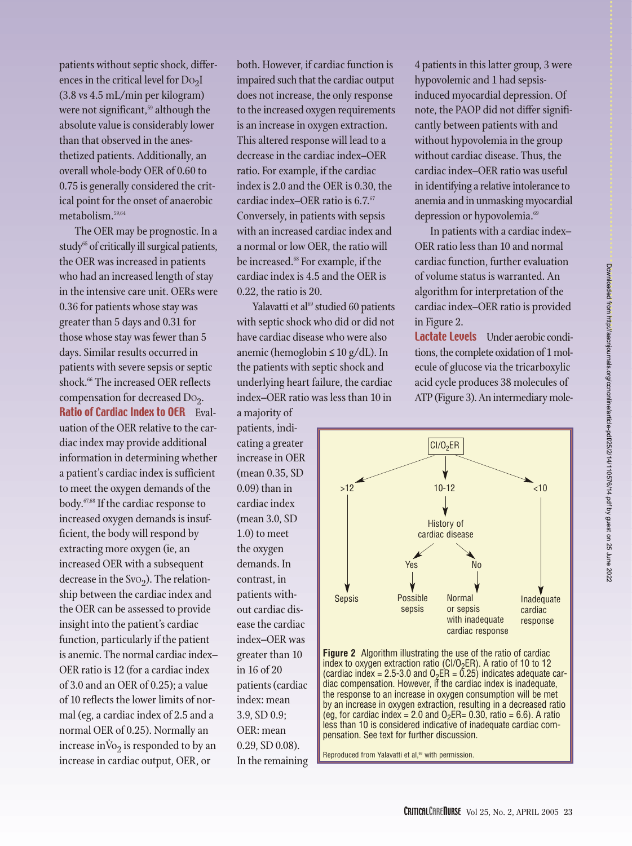patients without septic shock, differences in the critical level for  $Do<sub>2</sub>I$ (3.8 vs 4.5 mL/min per kilogram) were not significant,<sup>59</sup> although the absolute value is considerably lower than that observed in the anesthetized patients. Additionally, an overall whole-body OER of 0.60 to 0.75 is generally considered the critical point for the onset of anaerobic metabolism.59,64

The OER may be prognostic. In a study $65$  of critically ill surgical patients, the OER was increased in patients who had an increased length of stay in the intensive care unit. OERs were 0.36 for patients whose stay was greater than 5 days and 0.31 for those whose stay was fewer than 5 days. Similar results occurred in patients with severe sepsis or septic shock.<sup>66</sup> The increased OER reflects compensation for decreased Do<sub>2</sub>. Ratio of Cardiac Index to OER Evaluation of the OER relative to the cardiac index may provide additional information in determining whether a patient's cardiac index is sufficient to meet the oxygen demands of the body.67,68 If the cardiac response to increased oxygen demands is insufficient, the body will respond by extracting more oxygen (ie, an increased OER with a subsequent decrease in the SvO<sub>2</sub>). The relationship between the cardiac index and the OER can be assessed to provide insight into the patient's cardiac function, particularly if the patient is anemic. The normal cardiac index– OER ratio is 12 (for a cardiac index of 3.0 and an OER of 0.25); a value of 10 reflects the lower limits of normal (eg, a cardiac index of 2.5 and a normal OER of 0.25). Normally an  $\frac{1}{2}$  increase  $\frac{1}{2}$  is responded to by an increase in cardiac output, OER, or

both. However, if cardiac function is impaired such that the cardiac output does not increase, the only response to the increased oxygen requirements is an increase in oxygen extraction. This altered response will lead to a decrease in the cardiac index–OER ratio. For example, if the cardiac index is 2.0 and the OER is 0.30, the cardiac index-OER ratio is 6.7.<sup>67</sup> Conversely, in patients with sepsis with an increased cardiac index and a normal or low OER, the ratio will be increased.<sup>68</sup> For example, if the cardiac index is 4.5 and the OER is 0.22, the ratio is 20.

Yalavatti et al<sup>69</sup> studied 60 patients with septic shock who did or did not have cardiac disease who were also anemic (hemoglobin ≤ 10 g/dL). In the patients with septic shock and underlying heart failure, the cardiac index–OER ratio was less than 10 in

a majority of patients, indicating a greater increase in OER (mean 0.35, SD 0.09) than in cardiac index (mean 3.0, SD 1.0) to meet the oxygen demands. In contrast, in patients without cardiac disease the cardiac index–OER was greater than 10 in 16 of 20 patients (cardiac index: mean 3.9, SD 0.9; OER: mean 0.29, SD 0.08). In the remaining 4 patients in this latter group, 3 were hypovolemic and 1 had sepsisinduced myocardial depression. Of note, the PAOP did not differ significantly between patients with and without hypovolemia in the group without cardiac disease. Thus, the cardiac index–OER ratio was useful in identifying a relative intolerance to anemia and in unmasking myocardial depression or hypovolemia.<sup>69</sup>

In patients with a cardiac index– OER ratio less than 10 and normal cardiac function, further evaluation of volume status is warranted. An algorithm for interpretation of the cardiac index–OER ratio is provided in Figure 2.

Lactate Levels Under aerobic conditions, the complete oxidation of 1 molecule of glucose via the tricarboxylic acid cycle produces 38 molecules of ATP (Figure 3). An intermediary mole-



**Figure 2** Algorithm illustrating the use of the ratio of cardiac index to oxygen extraction ratio (CI/O<sub>2</sub>ER). A ratio of 10 to 12 (cardiac index = 2.5-3.0 and O<sub>2</sub>ER = 0.25) indicates adequate car-<br>diac compensation. However, if the cardiac index is inadequate, the response to an increase in oxygen consumption will be met by an increase in oxygen extraction, resulting in a decreased ratio (eg, for cardiac index = 2.0 and  $O_2ER = 0.30$ , ratio = 6.6). A ratio less than 10 is considered indicative of inadequate cardiac compensation. See text for further discussion.

Reproduced from Yalavatti et al,<sup>69</sup> with permission.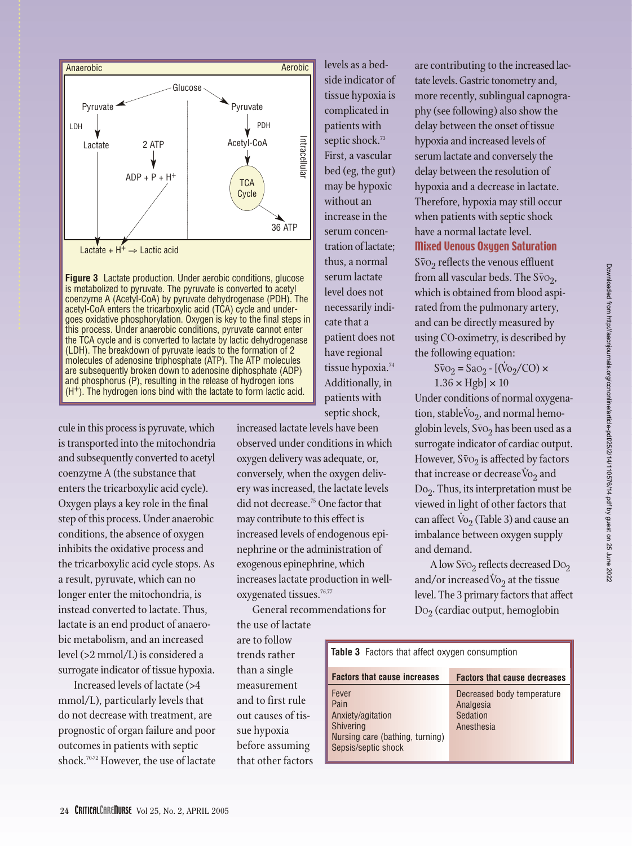

**Figure 3** Lactate production. Under aerobic conditions, glucose is metabolized to pyruvate. The pyruvate is converted to acetyl coenzyme A (Acetyl-CoA) by pyruvate dehydrogenase (PDH). The acetyl-CoA enters the tricarboxylic acid (TCA) cycle and undergoes oxidative phosphorylation. Oxygen is key to the final steps in this process. Under anaerobic conditions, pyruvate cannot enter the TCA cycle and is converted to lactate by lactic dehydrogenase (LDH). The breakdown of pyruvate leads to the formation of 2 molecules of adenosine triphosphate (ATP). The ATP molecules are subsequently broken down to adenosine diphosphate (ADP) and phosphorus (P), resulting in the release of hydrogen ions  $(H<sup>+</sup>)$ . The hydrogen ions bind with the lactate to form lactic acid.

cule in this process is pyruvate, which is transported into the mitochondria and subsequently converted to acetyl coenzyme A (the substance that enters the tricarboxylic acid cycle). Oxygen plays a key role in the final step of this process. Under anaerobic conditions, the absence of oxygen inhibits the oxidative process and the tricarboxylic acid cycle stops. As a result, pyruvate, which can no longer enter the mitochondria, is instead converted to lactate. Thus, lactate is an end product of anaerobic metabolism, and an increased level (>2 mmol/L) is considered a surrogate indicator of tissue hypoxia.

Increased levels of lactate (>4 mmol/L), particularly levels that do not decrease with treatment, are prognostic of organ failure and poor outcomes in patients with septic shock.70-72 However, the use of lactate

bed (eg, the gut) may be hypoxic without an increase in the serum concentration of lactate; thus, a normal serum lactate level does not necessarily indicate that a patient does not have regional tissue hypoxia.<sup>74</sup> Additionally, in patients with septic shock, increased lactate levels have been observed under conditions in which

levels as a bedside indicator of tissue hypoxia is complicated in patients with septic shock.<sup>73</sup> First, a vascular

oxygen delivery was adequate, or, conversely, when the oxygen delivery was increased, the lactate levels did not decrease.75 One factor that may contribute to this effect is increased levels of endogenous epinephrine or the administration of exogenous epinephrine, which increases lactate production in welloxygenated tissues.<sup>76,77</sup>

General recommendations for the use of lactate

are to follow trends rather than a single measurement and to first rule out causes of tissue hypoxia before assuming that other factors are contributing to the increased lactate levels. Gastric tonometry and, more recently, sublingual capnography (see following) also show the delay between the onset of tissue hypoxia and increased levels of serum lactate and conversely the delay between the resolution of hypoxia and a decrease in lactate. Therefore, hypoxia may still occur when patients with septic shock have a normal lactate level. Mixed Venous Oxygen Saturation  $S\bar{v}$ <sub>2</sub> reflects the venous effluent from all vascular beds. The  $S\bar{v}o_2$ , which is obtained from blood aspirated from the pulmonary artery,

and can be directly measured by using CO-oximetry, is described by the following equation:

 $S\bar{v}_{Q} = SaO_2 - [(\dot{V}_{Q}/CO) \times$  $1.36 \times Hgb \times 10$ 

Under conditions of normal oxygenation, stable  $\dot{V}o_2$ , and normal hemoglobin levels,  $S\bar{v}o<sub>2</sub>$  has been used as a surrogate indicator of cardiac output. However,  $S\bar{v}o_2$  is affected by factors that increase or decrease  $\dot{V}$  and that increase or decrease  $\dot{V}$ <sub>2</sub> and  $Do<sub>2</sub>$ . Thus, its interpretation must be viewed in light of other factors that can affect  $\dot{V}o_2$  (Table 3) and cause an imbalance between oxygen supply and demand.

A low  $S\bar{v}o_2$  reflects decreased Do<sub>2</sub> and/or increased  $\dot{V}o_2$  at the tissue level. The 3 primary factors that affect  $Do<sub>2</sub>$  (cardiac output, hemoglobin

| <b>Table 3</b> Factors that affect oxygen consumption                                                     |                                                                   |  |  |  |  |  |  |  |
|-----------------------------------------------------------------------------------------------------------|-------------------------------------------------------------------|--|--|--|--|--|--|--|
| <b>Factors that cause increases</b>                                                                       | <b>Factors that cause decreases</b>                               |  |  |  |  |  |  |  |
| Fever<br>Pain<br>Anxiety/agitation<br>Shivering<br>Nursing care (bathing, turning)<br>Sepsis/septic shock | Decreased body temperature<br>Analgesia<br>Sedation<br>Anesthesia |  |  |  |  |  |  |  |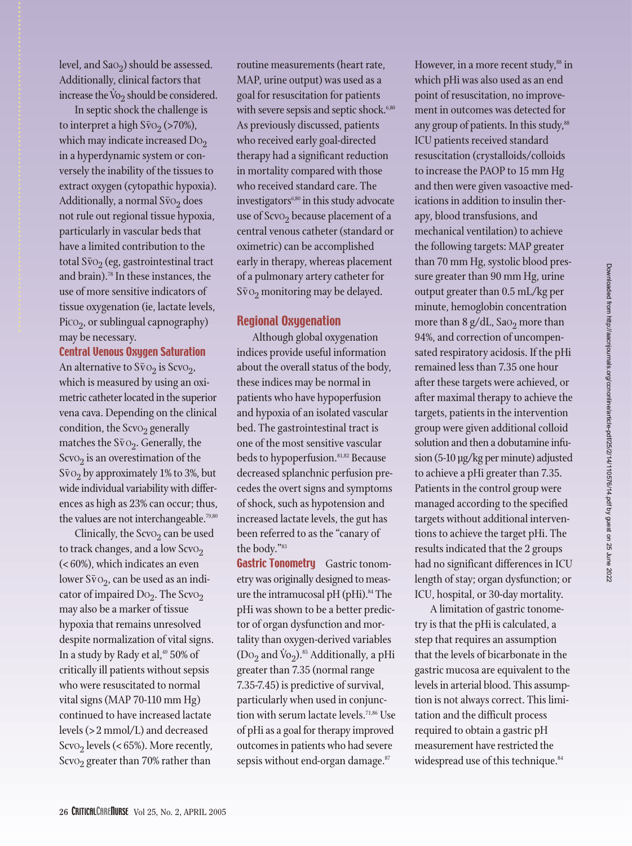level, and  $Sao<sub>2</sub>$ ) should be assessed. Additionally, clinical factors that  $\frac{1}{2}$  increase the  $\overline{v}_{2}$  should be considered.

In septic shock the challenge is to interpret a high  $S\bar{v}o_2$  (>70%), which may indicate increased  $Do<sub>2</sub>$ in a hyperdynamic system or conversely the inability of the tissues to extract oxygen (cytopathic hypoxia). Additionally, a normal  $S\bar{v}o_2$  does not rule out regional tissue hypoxia, particularly in vascular beds that have a limited contribution to the total  $S\bar{v}o<sub>2</sub>$  (eg, gastrointestinal tract and brain).<sup>78</sup> In these instances, the use of more sensitive indicators of tissue oxygenation (ie, lactate levels,  $Pico<sub>2</sub>$ , or sublingual capnography) may be necessary.

#### Central Venous Oxygen Saturation

An alternative to  $S\bar{v}o_2$  is Scvo<sub>2</sub>, which is measured by using an oximetric catheter located in the superior vena cava. Depending on the clinical condition, the ScvO<sub>2</sub> generally matches the  $S\bar{v}o_2$ . Generally, the  $S$ cvO<sub>2</sub> is an overestimation of the  $S\bar{v}o_2$  by approximately 1% to 3%, but wide individual variability with differences as high as 23% can occur; thus, the values are not interchangeable.<sup>79,80</sup>

Clinically, the Scv $o_2$  can be used to track changes, and a low  $S$ cvo<sub>2</sub> (< 60%), which indicates an even lower S $\bar{v}$ O<sub>2</sub>, can be used as an indicator of impaired  $Do_2$ . The Scvo<sub>2</sub> may also be a marker of tissue hypoxia that remains unresolved despite normalization of vital signs. In a study by Rady et al, $49\,50\%$  of critically ill patients without sepsis who were resuscitated to normal vital signs (MAP 70-110 mm Hg) continued to have increased lactate levels (> 2 mmol/L) and decreased ScvO<sub>2</sub> levels (< 65%). More recently, ScvO<sub>2</sub> greater than 70% rather than

routine measurements (heart rate, MAP, urine output) was used as a goal for resuscitation for patients with severe sepsis and septic shock.<sup>6,80</sup> As previously discussed, patients who received early goal-directed therapy had a significant reduction in mortality compared with those who received standard care. The investigators $6,80$  in this study advocate use of  $S$ cvO<sub>2</sub> because placement of a central venous catheter (standard or oximetric) can be accomplished early in therapy, whereas placement of a pulmonary artery catheter for  $S\bar{v}o_2$  monitoring may be delayed.

#### Regional Oxygenation

Although global oxygenation indices provide useful information about the overall status of the body, these indices may be normal in patients who have hypoperfusion and hypoxia of an isolated vascular bed. The gastrointestinal tract is one of the most sensitive vascular beds to hypoperfusion.<sup>81,82</sup> Because decreased splanchnic perfusion precedes the overt signs and symptoms of shock, such as hypotension and increased lactate levels, the gut has been referred to as the "canary of the body."83

**Gastric Tonometry** Gastric tonometry was originally designed to measure the intramucosal pH (pHi). $84$  The pHi was shown to be a better predictor of organ dysfunction and mortality than oxygen-derived variables  $(Do_2 \text{ and } \dot{V}o_2)$ .<sup>85</sup> Additionally, a pHi greater than 7.35 (normal range 7.35-7.45) is predictive of survival, particularly when used in conjunction with serum lactate levels.<sup>71,86</sup> Use of pHi as a goal for therapy improved outcomes in patients who had severe sepsis without end-organ damage.<sup>87</sup>

However, in a more recent study,<sup>88</sup> in which pHi was also used as an end point of resuscitation, no improvement in outcomes was detected for any group of patients. In this study,<sup>88</sup> ICU patients received standard resuscitation (crystalloids/colloids to increase the PAOP to 15 mm Hg and then were given vasoactive medications in addition to insulin therapy, blood transfusions, and mechanical ventilation) to achieve the following targets: MAP greater than 70 mm Hg, systolic blood pressure greater than 90 mm Hg, urine output greater than 0.5 mL/kg per minute, hemoglobin concentration more than  $8 \text{ g}/\text{dL}$ , Sa $\text{o}_2$  more than 94%, and correction of uncompensated respiratory acidosis. If the pHi remained less than 7.35 one hour after these targets were achieved, or after maximal therapy to achieve the targets, patients in the intervention group were given additional colloid solution and then a dobutamine infusion (5-10 µg/kg per minute) adjusted to achieve a pHi greater than 7.35. Patients in the control group were managed according to the specified targets without additional interventions to achieve the target pHi. The results indicated that the 2 groups had no significant differences in ICU length of stay; organ dysfunction; or ICU, hospital, or 30-day mortality.

A limitation of gastric tonometry is that the pHi is calculated, a step that requires an assumption that the levels of bicarbonate in the gastric mucosa are equivalent to the levels in arterial blood. This assumption is not always correct. This limitation and the difficult process required to obtain a gastric pH measurement have restricted the widespread use of this technique.<sup>84</sup>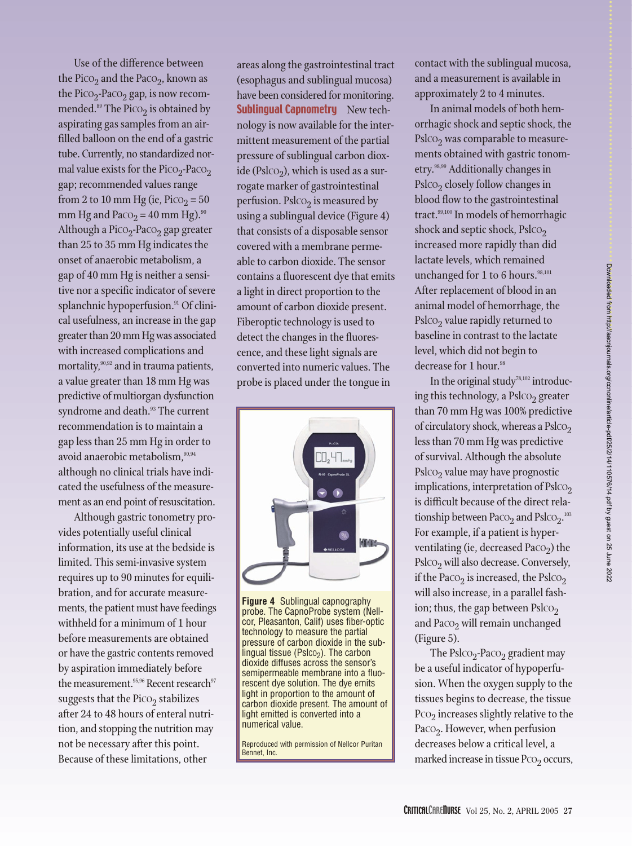Use of the difference between the Pico<sub>2</sub> and the Paco<sub>2</sub>, known as the Pico<sub>2</sub>-Paco<sub>2</sub> gap, is now recommended. $89$  The Pico<sub>2</sub> is obtained by aspirating gas samples from an airfilled balloon on the end of a gastric tube. Currently, no standardized normal value exists for the Pico<sub>2</sub>-Paco<sub>2</sub> gap; recommended values range from 2 to 10 mm Hg (ie,  $P_{\text{ICO}_2} = 50$ mm Hg and Paco<sub>2</sub> = 40 mm Hg).<sup>90</sup> Although a Pico<sub>2</sub>-Paco<sub>2</sub> gap greater than 25 to 35 mm Hg indicates the onset of anaerobic metabolism, a gap of 40 mm Hg is neither a sensitive nor a specific indicator of severe splanchnic hypoperfusion.<sup>91</sup> Of clinical usefulness, an increase in the gap greater than 20 mm Hg was associated with increased complications and mortality,<sup>90,92</sup> and in trauma patients, a value greater than 18 mm Hg was predictive of multiorgan dysfunction syndrome and death.<sup>93</sup> The current recommendation is to maintain a gap less than 25 mm Hg in order to avoid anaerobic metabolism, 90,94 although no clinical trials have indicated the usefulness of the measurement as an end point of resuscitation.

Although gastric tonometry provides potentially useful clinical information, its use at the bedside is limited. This semi-invasive system requires up to 90 minutes for equilibration, and for accurate measurements, the patient must have feedings withheld for a minimum of 1 hour before measurements are obtained or have the gastric contents removed by aspiration immediately before the measurement. $^{95,96}$  Recent research $^{97}$ suggests that the  $P_{\text{ICO}_2}$  stabilizes after 24 to 48 hours of enteral nutrition, and stopping the nutrition may not be necessary after this point. Because of these limitations, other

areas along the gastrointestinal tract (esophagus and sublingual mucosa) have been considered for monitoring. **Sublingual Capnometry** New technology is now available for the intermittent measurement of the partial pressure of sublingual carbon dioxide (Psl $\text{CO}_2$ ), which is used as a surrogate marker of gastrointestinal perfusion. Psl $\cos$  is measured by using a sublingual device (Figure 4) that consists of a disposable sensor covered with a membrane permeable to carbon dioxide. The sensor contains a fluorescent dye that emits a light in direct proportion to the amount of carbon dioxide present. Fiberoptic technology is used to detect the changes in the fluorescence, and these light signals are converted into numeric values. The probe is placed under the tongue in



**Figure 4** Sublingual capnography probe. The CapnoProbe system (Nellcor, Pleasanton, Calif) uses fiber-optic technology to measure the partial pressure of carbon dioxide in the sublingual tissue ( $Pslco<sub>2</sub>$ ). The carbon dioxide diffuses across the sensor's semipermeable membrane into a fluorescent dye solution. The dye emits light in proportion to the amount of carbon dioxide present. The amount of light emitted is converted into a numerical value.

Reproduced with permission of Nellcor Puritan Bennet, Inc.

contact with the sublingual mucosa, and a measurement is available in approximately 2 to 4 minutes.

In animal models of both hemorrhagic shock and septic shock, the Psl $\text{CO}_2$  was comparable to measurements obtained with gastric tonometry.98,99 Additionally changes in  $Ps**l**CO<sub>2</sub> closely follow changes in$ blood flow to the gastrointestinal tract.<sup>99,100</sup> In models of hemorrhagic shock and septic shock, Psl $\text{co}_2$ increased more rapidly than did lactate levels, which remained unchanged for  $1$  to  $6$  hours.<sup>98,101</sup> After replacement of blood in an animal model of hemorrhage, the  $Ps**l**CO<sub>2</sub>$  value rapidly returned to baseline in contrast to the lactate level, which did not begin to decrease for 1 hour.<sup>98</sup>

In the original study<sup>78,102</sup> introducing this technology, a  $Ps**l**CO<sub>2</sub> greater$ than 70 mm Hg was 100% predictive of circulatory shock, whereas a  $\text{Ps}$ l $\text{CO}_2$ less than 70 mm Hg was predictive of survival. Although the absolute  $Ps**l**CO<sub>2</sub>$  value may have prognostic implications, interpretation of  $Ps**l**CO<sub>2</sub>$ is difficult because of the direct relationship between Pa $\text{co}_2$  and Psl $\text{co}_2$ . $^{\text{103}}$ For example, if a patient is hyperventilating (ie, decreased Pa $\text{co}_2$ ) the  $Ps**lco**<sub>2</sub>$  will also decrease. Conversely, if the Paco<sub>2</sub> is increased, the Pslco<sub>2</sub> will also increase, in a parallel fashion; thus, the gap between  $Ps**l**CO<sub>2</sub>$ and Pa $\cos_2$  will remain unchanged (Figure 5).

The Psl $\text{CO}_2$ -Pa $\text{CO}_2$  gradient may be a useful indicator of hypoperfusion. When the oxygen supply to the tissues begins to decrease, the tissue  $PCO<sub>2</sub>$  increases slightly relative to the Pa $\text{co}_2$ . However, when perfusion decreases below a critical level, a marked increase in tissue  $PCO<sub>2</sub>$  occurs,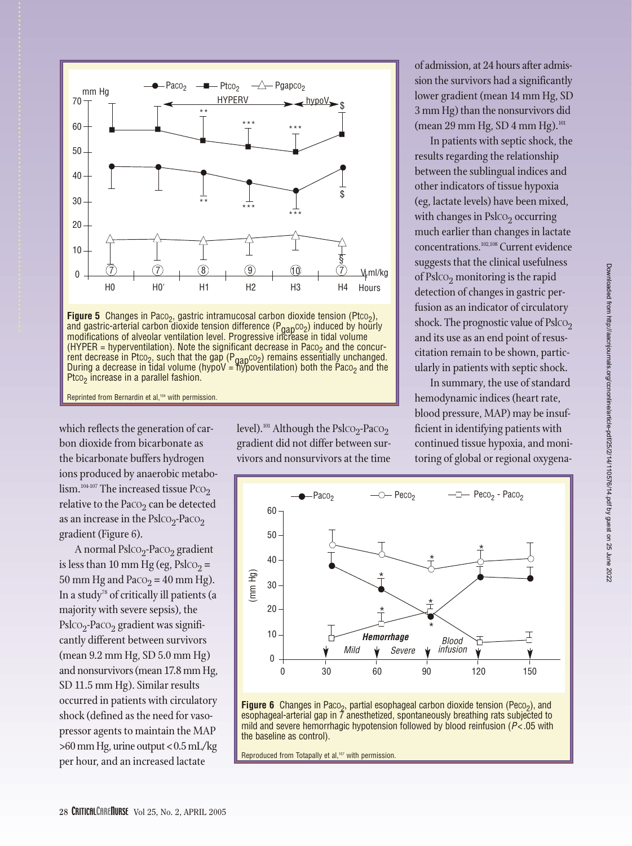

During a decrease in tidal volume (hypoV = hypoventilation) both the Paco<sub>2</sub> and the Ptco<sub>2</sub> increase in a parallel fashion.

Reprinted from Bernardin et al,<sup>104</sup> with permission.

which reflects the generation of carbon dioxide from bicarbonate as the bicarbonate buffers hydrogen ions produced by anaerobic metabo- $\lim_{n \to \infty} 104-107$  The increased tissue Pco<sub>2</sub> relative to the Pa $\cos$  can be detected as an increase in the Psl $\text{CO}_2$ -PaCO<sub>2</sub> gradient (Figure 6).

A normal Pslco<sub>2</sub>-Paco<sub>2</sub> gradient is less than 10 mm Hg (eg, Psl $\text{CO}_2$  = 50 mm Hg and Paco<sub>2</sub> = 40 mm Hg). In a study<sup>78</sup> of critically ill patients (a majority with severe sepsis), the  $Ps**lco**<sub>2</sub>$ -Paco<sub>2</sub> gradient was significantly different between survivors (mean 9.2 mm Hg, SD 5.0 mm Hg) and nonsurvivors (mean 17.8 mm Hg, SD 11.5 mm Hg). Similar results occurred in patients with circulatory shock (defined as the need for vasopressor agents to maintain the MAP >60 mm Hg, urine output <0.5 mL/kg per hour, and an increased lactate

level).<sup>101</sup> Although the Psl $CO_2$ -Pa $CO_2$ gradient did not differ between survivors and nonsurvivors at the time

of admission, at 24 hours after admission the survivors had a significantly lower gradient (mean 14 mm Hg, SD 3 mm Hg) than the nonsurvivors did (mean 29 mm Hg, SD 4 mm Hg). $^{101}$ 

In patients with septic shock, the results regarding the relationship between the sublingual indices and other indicators of tissue hypoxia (eg, lactate levels) have been mixed, with changes in  $Ps**l**CO<sub>2</sub> occurring$ much earlier than changes in lactate concentrations.102,108 Current evidence suggests that the clinical usefulness of Psl $\text{co}_2$  monitoring is the rapid detection of changes in gastric perfusion as an indicator of circulatory shock. The prognostic value of Pslco<sub>2</sub> and its use as an end point of resuscitation remain to be shown, particularly in patients with septic shock.

In summary, the use of standard hemodynamic indices (heart rate, blood pressure, MAP) may be insufficient in identifying patients with continued tissue hypoxia, and monitoring of global or regional oxygena-





Reproduced from Totapally et al,<sup>107</sup> with permission.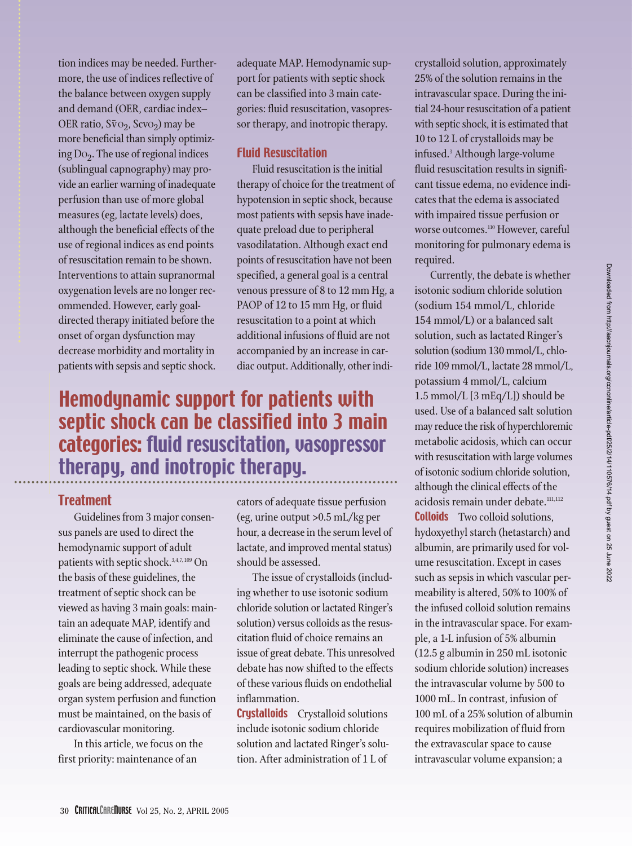tion indices may be needed. Furthermore, the use of indices reflective of the balance between oxygen supply and demand (OER, cardiac index– OER ratio,  $S\bar{v}$ O<sub>2</sub>, ScvO<sub>2</sub>) may be more beneficial than simply optimizing  $Do_2$ . The use of regional indices (sublingual capnography) may provide an earlier warning of inadequate perfusion than use of more global measures (eg, lactate levels) does, although the beneficial effects of the use of regional indices as end points of resuscitation remain to be shown. Interventions to attain supranormal oxygenation levels are no longer recommended. However, early goaldirected therapy initiated before the onset of organ dysfunction may decrease morbidity and mortality in patients with sepsis and septic shock.

adequate MAP. Hemodynamic support for patients with septic shock can be classified into 3 main categories: fluid resuscitation, vasopressor therapy, and inotropic therapy.

#### Fluid Resuscitation

Fluid resuscitation is the initial therapy of choice for the treatment of hypotension in septic shock, because most patients with sepsis have inadequate preload due to peripheral vasodilatation. Although exact end points of resuscitation have not been specified, a general goal is a central venous pressure of 8 to 12 mm Hg, a PAOP of 12 to 15 mm Hg, or fluid resuscitation to a point at which additional infusions of fluid are not accompanied by an increase in cardiac output. Additionally, other indi-

## Hemodynamic support for patients with septic shock can be classified into 3 main categories: fluid resuscitation, vasopressor therapy, and inotropic therapy.

#### **Treatment**

Guidelines from 3 major consensus panels are used to direct the hemodynamic support of adult patients with septic shock.<sup>3,4,7, 109</sup> On the basis of these guidelines, the treatment of septic shock can be viewed as having 3 main goals: maintain an adequate MAP, identify and eliminate the cause of infection, and interrupt the pathogenic process leading to septic shock. While these goals are being addressed, adequate organ system perfusion and function must be maintained, on the basis of cardiovascular monitoring.

In this article, we focus on the first priority: maintenance of an

cators of adequate tissue perfusion (eg, urine output >0.5 mL/kg per hour, a decrease in the serum level of lactate, and improved mental status) should be assessed.

The issue of crystalloids (including whether to use isotonic sodium chloride solution or lactated Ringer's solution) versus colloids as the resuscitation fluid of choice remains an issue of great debate. This unresolved debate has now shifted to the effects of these various fluids on endothelial inflammation.

**Crystalloids** Crystalloid solutions include isotonic sodium chloride solution and lactated Ringer's solution. After administration of 1 L of

crystalloid solution, approximately 25% of the solution remains in the intravascular space. During the initial 24-hour resuscitation of a patient with septic shock, it is estimated that 10 to 12 L of crystalloids may be infused.3 Although large-volume fluid resuscitation results in significant tissue edema, no evidence indicates that the edema is associated with impaired tissue perfusion or worse outcomes.<sup>110</sup> However, careful monitoring for pulmonary edema is required.

Currently, the debate is whether isotonic sodium chloride solution (sodium 154 mmol/L, chloride 154 mmol/L) or a balanced salt solution, such as lactated Ringer's solution (sodium 130 mmol/L, chloride 109 mmol/L, lactate 28 mmol/L, potassium 4 mmol/L, calcium 1.5 mmol/L [3 mEq/L]) should be used. Use of a balanced salt solution may reduce the risk of hyperchloremic metabolic acidosis, which can occur with resuscitation with large volumes of isotonic sodium chloride solution, although the clinical effects of the acidosis remain under debate.<sup>111,112</sup> **Colloids** Two colloid solutions, hydoxyethyl starch (hetastarch) and albumin, are primarily used for volume resuscitation. Except in cases such as sepsis in which vascular permeability is altered, 50% to 100% of the infused colloid solution remains in the intravascular space. For example, a 1-L infusion of 5% albumin (12.5 g albumin in 250 mL isotonic sodium chloride solution) increases the intravascular volume by 500 to 1000 mL. In contrast, infusion of 100 mL of a 25% solution of albumin requires mobilization of fluid from the extravascular space to cause intravascular volume expansion; a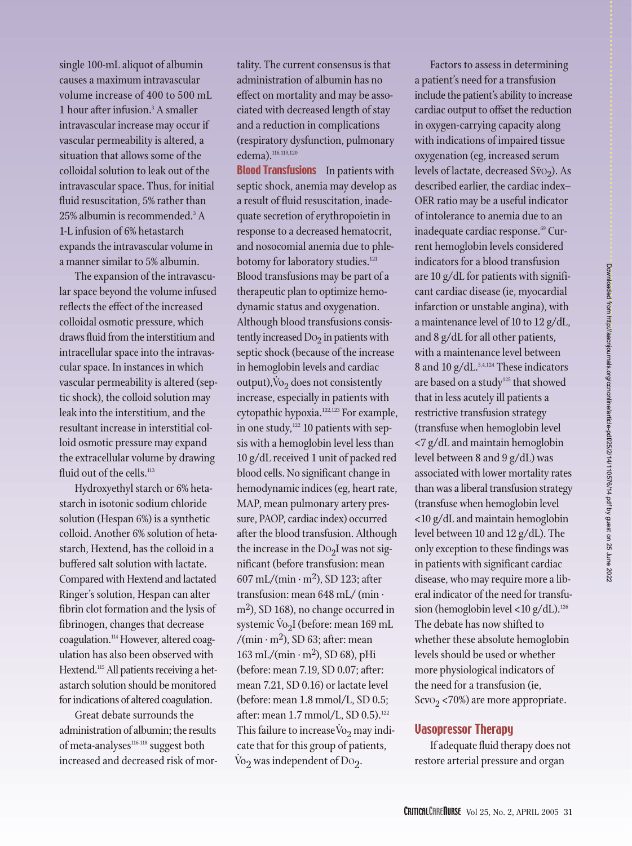single 100-mL aliquot of albumin causes a maximum intravascular volume increase of 400 to 500 mL 1 hour after infusion. $3$  A smaller intravascular increase may occur if vascular permeability is altered, a situation that allows some of the colloidal solution to leak out of the intravascular space. Thus, for initial fluid resuscitation, 5% rather than 25% albumin is recommended.<sup>3</sup> A 1-L infusion of 6% hetastarch expands the intravascular volume in a manner similar to 5% albumin.

The expansion of the intravascular space beyond the volume infused reflects the effect of the increased colloidal osmotic pressure, which draws fluid from the interstitium and intracellular space into the intravascular space. In instances in which vascular permeability is altered (septic shock), the colloid solution may leak into the interstitium, and the resultant increase in interstitial colloid osmotic pressure may expand the extracellular volume by drawing fluid out of the cells.<sup>113</sup>

Hydroxyethyl starch or 6% hetastarch in isotonic sodium chloride solution (Hespan 6%) is a synthetic colloid. Another 6% solution of hetastarch, Hextend, has the colloid in a buffered salt solution with lactate. Compared with Hextend and lactated Ringer's solution, Hespan can alter fibrin clot formation and the lysis of fibrinogen, changes that decrease coagulation.<sup>114</sup> However, altered coagulation has also been observed with Hextend.<sup>115</sup> All patients receiving a hetastarch solution should be monitored for indications of altered coagulation.

Great debate surrounds the administration of albumin; the results of meta-analyses<sup>116-118</sup> suggest both increased and decreased risk of mortality. The current consensus is that administration of albumin has no effect on mortality and may be associated with decreased length of stay and a reduction in complications (respiratory dysfunction, pulmonary edema).<sup>116,119,120</sup>

**Blood Transfusions** In patients with septic shock, anemia may develop as a result of fluid resuscitation, inadequate secretion of erythropoietin in response to a decreased hematocrit, and nosocomial anemia due to phlebotomy for laboratory studies.<sup>121</sup> Blood transfusions may be part of a therapeutic plan to optimize hemodynamic status and oxygenation. Although blood transfusions consistently increased  $Do_2$  in patients with septic shock (because of the increase in hemoglobin levels and cardiac  $output$ ,  $\dot{V}o_2$  does not consistently increase, especially in patients with cytopathic hypoxia.122,123 For example, in one study,<sup>122</sup> 10 patients with sepsis with a hemoglobin level less than 10 g/dL received 1 unit of packed red blood cells. No significant change in hemodynamic indices (eg, heart rate, MAP, mean pulmonary artery pressure, PAOP, cardiac index) occurred after the blood transfusion. Although the increase in the  $Do<sub>2</sub>I$  was not significant (before transfusion: mean  $607$  mL/(min · m<sup>2</sup>), SD 123; after transfusion: mean 648 mL/ (min · m<sup>2</sup>), SD 168), no change occurred in systemic  $\dot{V}_{2}$ I (before: mean 169 mL /(min  $\cdot$  m<sup>2</sup>), SD 63; after: mean  $163 \text{ mL}/(\text{min} \cdot \text{m}^2)$ , SD 68), pHi (before: mean 7.19, SD 0.07; after: mean 7.21, SD 0.16) or lactate level (before: mean 1.8 mmol/L, SD 0.5; after: mean 1.7 mmol/L, SD 0.5).<sup>122</sup> This failure to increase  $\dot{V}$ <sup>2</sup>,  $\dot{v}$ <sup>2</sup> may indicate that for this group of patients, .<br>.<br>آ Vo $_{2}$  was independent of Do $_{2}$ .

Factors to assess in determining a patient's need for a transfusion include the patient's ability to increase cardiac output to offset the reduction in oxygen-carrying capacity along with indications of impaired tissue oxygenation (eg, increased serum levels of lactate, decreased  $S\bar{v}o_2$ ). As described earlier, the cardiac index– OER ratio may be a useful indicator of intolerance to anemia due to an inadequate cardiac response.<sup>69</sup> Current hemoglobin levels considered indicators for a blood transfusion are 10 g/dL for patients with significant cardiac disease (ie, myocardial infarction or unstable angina), with a maintenance level of 10 to 12 g/dL, and 8 g/dL for all other patients, with a maintenance level between 8 and 10 g/dL.3,4,124 These indicators are based on a study<sup>125</sup> that showed that in less acutely ill patients a restrictive transfusion strategy (transfuse when hemoglobin level <7 g/dL and maintain hemoglobin level between 8 and 9 g/dL) was associated with lower mortality rates than was a liberal transfusion strategy (transfuse when hemoglobin level <10 g/dL and maintain hemoglobin level between 10 and 12 g/dL). The only exception to these findings was in patients with significant cardiac disease, who may require more a liberal indicator of the need for transfusion (hemoglobin level <10  $g/dL$ ).<sup>126</sup> The debate has now shifted to whether these absolute hemoglobin levels should be used or whether more physiological indicators of the need for a transfusion (ie,  $S$ cvO<sub>2</sub> <70%) are more appropriate.

#### Vasopressor Therapy

If adequate fluid therapy does not restore arterial pressure and organ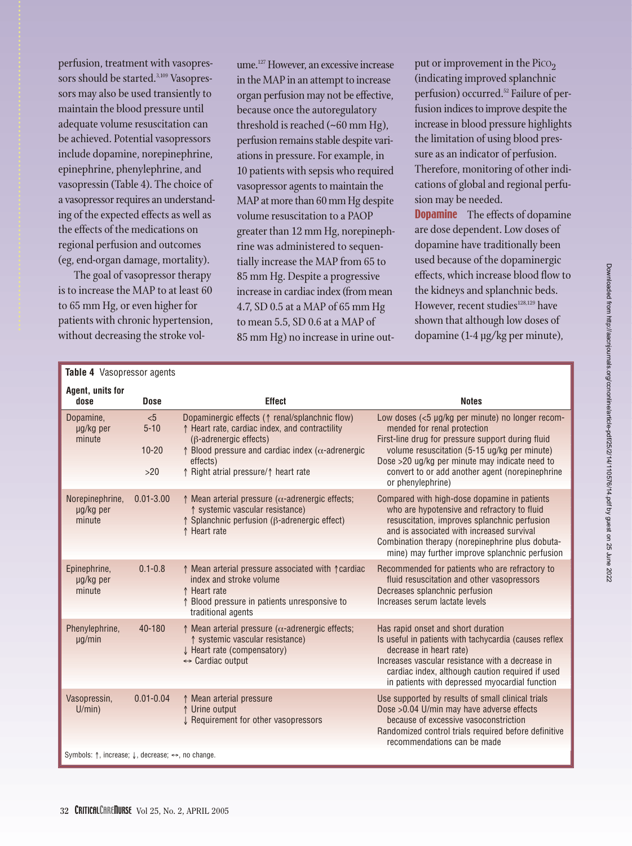perfusion, treatment with vasopressors should be started.<sup>3,109</sup> Vasopressors may also be used transiently to maintain the blood pressure until adequate volume resuscitation can be achieved. Potential vasopressors include dopamine, norepinephrine, epinephrine, phenylephrine, and vasopressin (Table 4). The choice of a vasopressor requires an understanding of the expected effects as well as the effects of the medications on regional perfusion and outcomes (eg, end-organ damage, mortality).

The goal of vasopressor therapy is to increase the MAP to at least 60 to 65 mm Hg, or even higher for patients with chronic hypertension, without decreasing the stroke vol-

ume.<sup>127</sup> However, an excessive increase in the MAP in an attempt to increase organ perfusion may not be effective, because once the autoregulatory threshold is reached (~60 mm Hg), perfusion remains stable despite variations in pressure. For example, in 10 patients with sepsis who required vasopressor agents to maintain the MAP at more than 60 mm Hg despite volume resuscitation to a PAOP greater than 12 mm Hg, norepinephrine was administered to sequentially increase the MAP from 65 to 85 mm Hg. Despite a progressive increase in cardiac index (from mean 4.7, SD 0.5 at a MAP of 65 mm Hg to mean 5.5, SD 0.6 at a MAP of 85 mm Hg) no increase in urine output or improvement in the  $P_{\text{ICO}_2}$ (indicating improved splanchnic perfusion) occurred.<sup>52</sup> Failure of perfusion indices to improve despite the increase in blood pressure highlights the limitation of using blood pressure as an indicator of perfusion. Therefore, monitoring of other indications of global and regional perfusion may be needed.

**Dopamine** The effects of dopamine are dose dependent. Low doses of dopamine have traditionally been used because of the dopaminergic effects, which increase blood flow to the kidneys and splanchnic beds. However, recent studies<sup>128,129</sup> have shown that although low doses of dopamine (1-4 µg/kg per minute),

| Table 4 Vasopressor agents                                                              |                                     |                                                                                                                                                                                                                                                                       |                                                                                                                                                                                                                                                                                                                |  |  |  |  |
|-----------------------------------------------------------------------------------------|-------------------------------------|-----------------------------------------------------------------------------------------------------------------------------------------------------------------------------------------------------------------------------------------------------------------------|----------------------------------------------------------------------------------------------------------------------------------------------------------------------------------------------------------------------------------------------------------------------------------------------------------------|--|--|--|--|
| Agent, units for<br>dose                                                                | <b>Dose</b>                         | <b>Effect</b>                                                                                                                                                                                                                                                         | <b>Notes</b>                                                                                                                                                                                                                                                                                                   |  |  |  |  |
| Dopamine,<br>ug/kg per<br>minute                                                        | < 5<br>$5 - 10$<br>$10 - 20$<br>>20 | Dopaminergic effects ( $\uparrow$ renal/splanchnic flow)<br>↑ Heart rate, cardiac index, and contractility<br>$(\beta$ -adrenergic effects)<br>$\uparrow$ Blood pressure and cardiac index ( $\alpha$ -adrenergic<br>effects)<br>↑ Right atrial pressure/↑ heart rate | Low doses (<5 µg/kg per minute) no longer recom-<br>mended for renal protection<br>First-line drug for pressure support during fluid<br>volume resuscitation (5-15 ug/kg per minute)<br>Dose >20 ug/kg per minute may indicate need to<br>convert to or add another agent (norepinephrine<br>or phenylephrine) |  |  |  |  |
| Norepinephrine,<br>µg/kg per<br>minute                                                  | $0.01 - 3.00$                       | $\uparrow$ Mean arterial pressure ( $\alpha$ -adrenergic effects;<br>↑ systemic vascular resistance)<br>$\uparrow$ Splanchnic perfusion ( $\upbeta$ -adrenergic effect)<br>↑ Heart rate                                                                               | Compared with high-dose dopamine in patients<br>who are hypotensive and refractory to fluid<br>resuscitation, improves splanchnic perfusion<br>and is associated with increased survival<br>Combination therapy (norepinephrine plus dobuta-<br>mine) may further improve splanchnic perfusion                 |  |  |  |  |
| Epinephrine,<br>µg/kg per<br>minute                                                     | $0.1 - 0.8$                         | ↑ Mean arterial pressure associated with ↑ cardiac<br>index and stroke volume<br>↑ Heart rate<br>↑ Blood pressure in patients unresponsive to<br>traditional agents                                                                                                   | Recommended for patients who are refractory to<br>fluid resuscitation and other vasopressors<br>Decreases splanchnic perfusion<br>Increases serum lactate levels                                                                                                                                               |  |  |  |  |
| Phenylephrine,<br>$\mu$ g/min                                                           | 40-180                              | $\uparrow$ Mean arterial pressure ( $\alpha$ -adrenergic effects;<br>↑ systemic vascular resistance)<br>Heart rate (compensatory)<br>$\leftrightarrow$ Cardiac output                                                                                                 | Has rapid onset and short duration<br>Is useful in patients with tachycardia (causes reflex<br>decrease in heart rate)<br>Increases vascular resistance with a decrease in<br>cardiac index, although caution required if used<br>in patients with depressed myocardial function                               |  |  |  |  |
| Vasopressin,<br>U/min)                                                                  | $0.01 - 0.04$                       | ↑ Mean arterial pressure<br>↑ Urine output<br>↓ Requirement for other vasopressors                                                                                                                                                                                    | Use supported by results of small clinical trials<br>Dose > 0.04 U/min may have adverse effects<br>because of excessive vasoconstriction<br>Randomized control trials required before definitive<br>recommendations can be made                                                                                |  |  |  |  |
| Symbols: $\uparrow$ , increase; $\downarrow$ , decrease; $\leftrightarrow$ , no change. |                                     |                                                                                                                                                                                                                                                                       |                                                                                                                                                                                                                                                                                                                |  |  |  |  |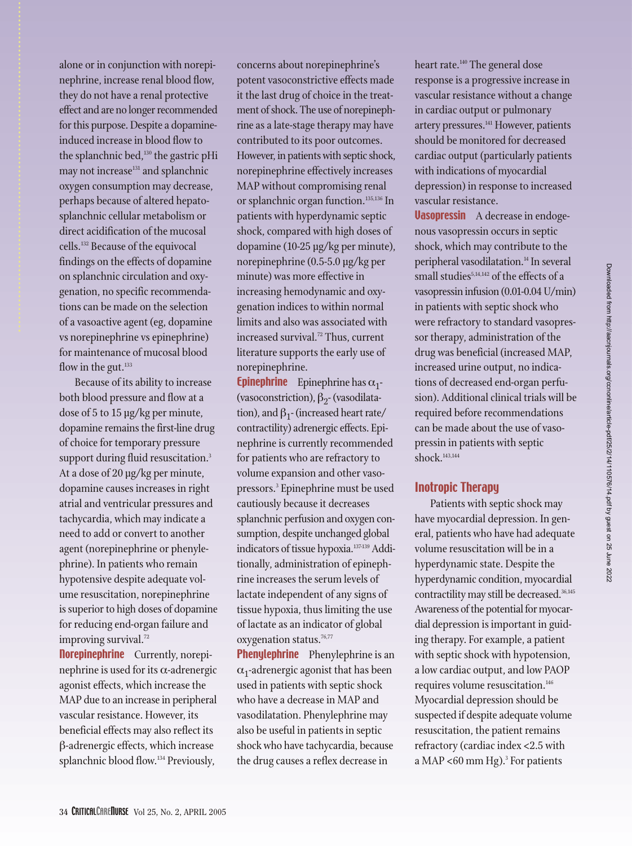alone or in conjunction with norepinephrine, increase renal blood flow, they do not have a renal protective effect and are no longer recommended for this purpose. Despite a dopamineinduced increase in blood flow to the splanchnic bed,<sup>130</sup> the gastric pHi may not increase<sup>131</sup> and splanchnic oxygen consumption may decrease, perhaps because of altered hepatosplanchnic cellular metabolism or direct acidification of the mucosal cells.132 Because of the equivocal findings on the effects of dopamine on splanchnic circulation and oxygenation, no specific recommendations can be made on the selection of a vasoactive agent (eg, dopamine vs norepinephrine vs epinephrine) for maintenance of mucosal blood flow in the gut. $133$ 

Because of its ability to increase both blood pressure and flow at a dose of 5 to 15 µg/kg per minute, dopamine remains the first-line drug of choice for temporary pressure support during fluid resuscitation.<sup>3</sup> At a dose of 20 µg/kg per minute, dopamine causes increases in right atrial and ventricular pressures and tachycardia, which may indicate a need to add or convert to another agent (norepinephrine or phenylephrine). In patients who remain hypotensive despite adequate volume resuscitation, norepinephrine is superior to high doses of dopamine for reducing end-organ failure and improving survival.<sup>72</sup>

**Norepinephrine** Currently, norepinephrine is used for its  $\alpha$ -adrenergic agonist effects, which increase the MAP due to an increase in peripheral vascular resistance. However, its beneficial effects may also reflect its β-adrenergic effects, which increase splanchnic blood flow.<sup>134</sup> Previously,

concerns about norepinephrine's potent vasoconstrictive effects made it the last drug of choice in the treatment of shock. The use of norepinephrine as a late-stage therapy may have contributed to its poor outcomes. However, in patients with septic shock, norepinephrine effectively increases MAP without compromising renal or splanchnic organ function.135,136 In patients with hyperdynamic septic shock, compared with high doses of dopamine (10-25 µg/kg per minute), norepinephrine (0.5-5.0 µg/kg per minute) was more effective in increasing hemodynamic and oxygenation indices to within normal limits and also was associated with increased survival.<sup>72</sup> Thus, current literature supports the early use of norepinephrine.

**Epinephrine** Epinephrine has  $\alpha_1$ -(vasoconstriction),  $\beta_2$ - (vasodilatation), and  $\beta_1$ - (increased heart rate/ contractility) adrenergic effects. Epinephrine is currently recommended for patients who are refractory to volume expansion and other vasopressors.3 Epinephrine must be used cautiously because it decreases splanchnic perfusion and oxygen consumption, despite unchanged global indicators of tissue hypoxia.<sup>137-139</sup> Additionally, administration of epinephrine increases the serum levels of lactate independent of any signs of tissue hypoxia, thus limiting the use of lactate as an indicator of global oxygenation status.<sup>76,77</sup>

**Phenylephrine** Phenylephrine is an  $\alpha_1$ -adrenergic agonist that has been used in patients with septic shock who have a decrease in MAP and vasodilatation. Phenylephrine may also be useful in patients in septic shock who have tachycardia, because the drug causes a reflex decrease in

heart rate.<sup>140</sup> The general dose response is a progressive increase in vascular resistance without a change in cardiac output or pulmonary artery pressures.141 However, patients should be monitored for decreased cardiac output (particularly patients with indications of myocardial depression) in response to increased vascular resistance.

**Vasopressin** A decrease in endogenous vasopressin occurs in septic shock, which may contribute to the peripheral vasodilatation.<sup>14</sup> In several small studies<sup>5,14,142</sup> of the effects of a vasopressin infusion (0.01-0.04 U/min) in patients with septic shock who were refractory to standard vasopressor therapy, administration of the drug was beneficial (increased MAP, increased urine output, no indications of decreased end-organ perfusion). Additional clinical trials will be required before recommendations can be made about the use of vasopressin in patients with septic shock.<sup>143,144</sup>

#### Inotropic Therapy

Patients with septic shock may have myocardial depression. In general, patients who have had adequate volume resuscitation will be in a hyperdynamic state. Despite the hyperdynamic condition, myocardial contractility may still be decreased.<sup>36,145</sup> Awareness of the potential for myocardial depression is important in guiding therapy. For example, a patient with septic shock with hypotension, a low cardiac output, and low PAOP requires volume resuscitation.<sup>146</sup> Myocardial depression should be suspected if despite adequate volume resuscitation, the patient remains refractory (cardiac index <2.5 with a MAP <60 mm Hg).<sup>3</sup> For patients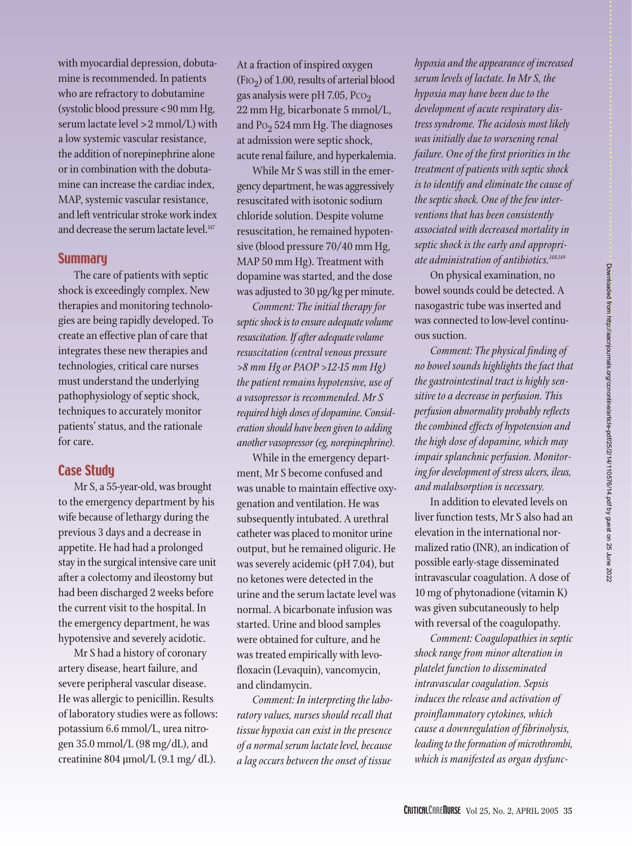with myocardial depression, dobutamine is recommended. In patients who are refractory to dobutamine (systolic blood pressure < 90 mm Hg, serum lactate level > 2 mmol/L) with a low systemic vascular resistance, the addition of norepinephrine alone or in combination with the dobutamine can increase the cardiac index, MAP, systemic vascular resistance, and left ventricular stroke work index and decrease the serum lactate level.<sup>147</sup>

#### **Summary**

The care of patients with septic shock is exceedingly complex. New therapies and monitoring technologies are being rapidly developed. To create an effective plan of care that integrates these new therapies and technologies, critical care nurses must understand the underlying pathophysiology of septic shock, techniques to accurately monitor patients' status, and the rationale for care.

#### Case Study

Mr S, a 55-year-old, was brought to the emergency department by his wife because of lethargy during the previous 3 days and a decrease in appetite. He had had a prolonged stay in the surgical intensive care unit after a colectomy and ileostomy but had been discharged 2 weeks before the current visit to the hospital. In the emergency department, he was hypotensive and severely acidotic.

Mr S had a history of coronary artery disease, heart failure, and severe peripheral vascular disease. He was allergic to penicillin. Results of laboratory studies were as follows: potassium 6.6 mmol/L, urea nitrogen 35.0 mmol/L (98 mg/dL), and creatinine 804 µmol/L (9.1 mg/ dL).

At a fraction of inspired oxygen  $(FIO<sub>2</sub>)$  of 1.00, results of arterial blood gas analysis were pH 7.05,  $PCO<sub>2</sub>$ 22 mm Hg, bicarbonate 5 mmol/L, and  $Po_2$  524 mm Hg. The diagnoses at admission were septic shock, acute renal failure, and hyperkalemia.

While Mr S was still in the emergency department, he was aggressively resuscitated with isotonic sodium chloride solution. Despite volume resuscitation, he remained hypotensive (blood pressure 70/40 mm Hg, MAP 50 mm Hg). Treatment with dopamine was started, and the dose was adjusted to 30 µg/kg per minute.

*Comment: The initial therapy for septic shock is to ensure adequate volume resuscitation. If after adequate volume resuscitation (central venous pressure >8 mm Hg or PAOP >12-15 mm Hg) the patient remains hypotensive, use of a vasopressor is recommended. Mr S required high doses of dopamine. Consideration should have been given to adding another vasopressor (eg, norepinephrine).*

While in the emergency department, Mr S become confused and was unable to maintain effective oxygenation and ventilation. He was subsequently intubated. A urethral catheter was placed to monitor urine output, but he remained oliguric. He was severely acidemic (pH 7.04), but no ketones were detected in the urine and the serum lactate level was normal. A bicarbonate infusion was started. Urine and blood samples were obtained for culture, and he was treated empirically with levofloxacin (Levaquin), vancomycin, and clindamycin.

*Comment: In interpreting the laboratory values, nurses should recall that tissue hypoxia can exist in the presence of a normal serum lactate level, because a lag occurs between the onset of tissue*

*hypoxia and the appearance of increased serum levels of lactate. In Mr S, the hypoxia may have been due to the development of acute respiratory distress syndrome. The acidosis most likely was initially due to worsening renal failure. One of the first priorities in the treatment of patients with septic shock is to identify and eliminate the cause of the septic shock. One of the few interventions that has been consistently associated with decreased mortality in septic shock is the early and appropriate administration of antibiotics.148,149*

On physical examination, no bowel sounds could be detected. A nasogastric tube was inserted and was connected to low-level continuous suction.

*Comment: The physical finding of no bowel sounds highlights the fact that the gastrointestinal tract is highly sensitive to a decrease in perfusion. This perfusion abnormality probably reflects the combined effects of hypotension and the high dose of dopamine, which may impair splanchnic perfusion. Monitoring for development of stress ulcers, ileus, and malabsorption is necessary.*

In addition to elevated levels on liver function tests, Mr S also had an elevation in the international normalized ratio (INR), an indication of possible early-stage disseminated intravascular coagulation. A dose of 10 mg of phytonadione (vitamin K) was given subcutaneously to help with reversal of the coagulopathy.

*Comment: Coagulopathies in septic shock range from minor alteration in platelet function to disseminated intravascular coagulation. Sepsis induces the release and activation of proinflammatory cytokines, which cause a downregulation of fibrinolysis, leading to the formation of microthrombi, which is manifested as organ dysfunc-*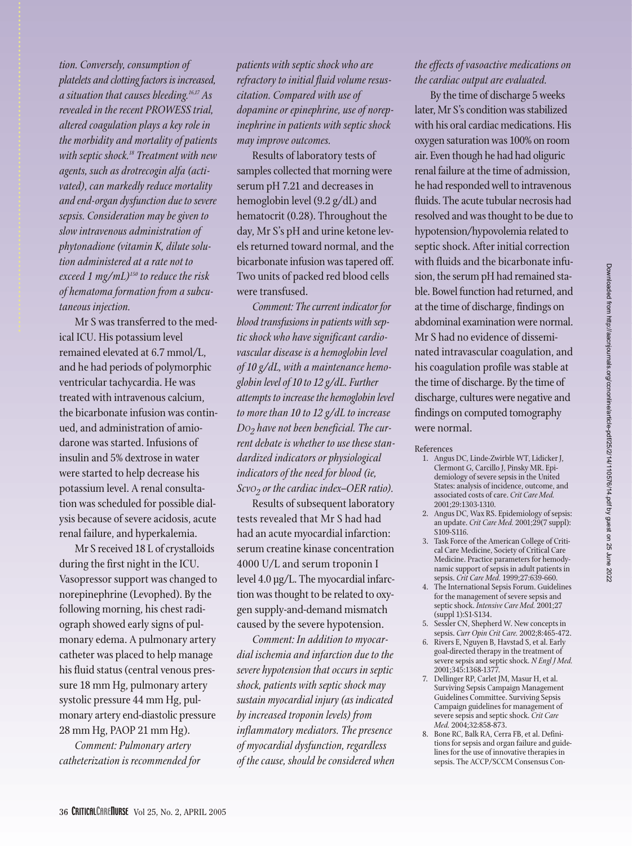Downloaded from http://aacnjournals.org/ccnonline/article-pdf/25/2/14/110576/14.pdf by guest on 25 June 2022 Downloaded from http://aacnjournals.org/ccnonline/article-pdf/25/2/14/110576/14.pdf by guest on 25 June 2022

*tion. Conversely, consumption of platelets and clotting factors is increased, a situation that causes bleeding.16,17 As revealed in the recent PROWESS trial, altered coagulation plays a key role in the morbidity and mortality of patients with septic shock.18 Treatment with new agents, such as drotrecogin alfa (activated), can markedly reduce mortality and end-organ dysfunction due to severe sepsis. Consideration may be given to slow intravenous administration of phytonadione (vitamin K, dilute solution administered at a rate not to exceed 1 mg/mL)150 to reduce the risk of hematoma formation from a subcutaneous injection.*

Mr S was transferred to the medical ICU. His potassium level remained elevated at 6.7 mmol/L, and he had periods of polymorphic ventricular tachycardia. He was treated with intravenous calcium, the bicarbonate infusion was continued, and administration of amiodarone was started. Infusions of insulin and 5% dextrose in water were started to help decrease his potassium level. A renal consultation was scheduled for possible dialysis because of severe acidosis, acute renal failure, and hyperkalemia.

Mr S received 18 L of crystalloids during the first night in the ICU. Vasopressor support was changed to norepinephrine (Levophed). By the following morning, his chest radiograph showed early signs of pulmonary edema. A pulmonary artery catheter was placed to help manage his fluid status (central venous pressure 18 mm Hg, pulmonary artery systolic pressure 44 mm Hg, pulmonary artery end-diastolic pressure 28 mm Hg, PAOP 21 mm Hg).

*Comment: Pulmonary artery catheterization is recommended for* *patients with septic shock who are refractory to initial fluid volume resuscitation. Compared with use of dopamine or epinephrine, use of norepinephrine in patients with septic shock may improve outcomes.*

Results of laboratory tests of samples collected that morning were serum pH 7.21 and decreases in hemoglobin level (9.2 g/dL) and hematocrit (0.28). Throughout the day, Mr S's pH and urine ketone levels returned toward normal, and the bicarbonate infusion was tapered off. Two units of packed red blood cells were transfused.

*Comment: The current indicator for blood transfusions in patients with septic shock who have significant cardiovascular disease is a hemoglobin level of 10 g/dL, with a maintenance hemoglobin level of 10 to 12 g/dL. Further attempts to increase the hemoglobin level to more than 10 to 12 g/dL to increase DO2 have not been beneficial. The current debate is whether to use these standardized indicators or physiological indicators of the need for blood (ie, ScvO2 or the cardiac index–OER ratio).*

Results of subsequent laboratory tests revealed that Mr S had had had an acute myocardial infarction: serum creatine kinase concentration 4000 U/L and serum troponin I level 4.0 µg/L. The myocardial infarction was thought to be related to oxygen supply-and-demand mismatch caused by the severe hypotension.

*Comment: In addition to myocardial ischemia and infarction due to the severe hypotension that occurs in septic shock, patients with septic shock may sustain myocardial injury (as indicated by increased troponin levels) from inflammatory mediators. The presence of myocardial dysfunction, regardless of the cause, should be considered when*

#### *the effects of vasoactive medications on the cardiac output are evaluated.*

By the time of discharge 5 weeks later, Mr S's condition was stabilized with his oral cardiac medications. His oxygen saturation was 100% on room air. Even though he had had oliguric renal failure at the time of admission, he had responded well to intravenous fluids. The acute tubular necrosis had resolved and was thought to be due to hypotension/hypovolemia related to septic shock. After initial correction with fluids and the bicarbonate infusion, the serum pH had remained stable. Bowel function had returned, and at the time of discharge, findings on abdominal examination were normal. Mr S had no evidence of disseminated intravascular coagulation, and his coagulation profile was stable at the time of discharge. By the time of discharge, cultures were negative and findings on computed tomography were normal.

References

- 1. Angus DC, Linde-Zwirble WT, Lidicker J, Clermont G, Carcillo J, Pinsky MR. Epidemiology of severe sepsis in the United States: analysis of incidence, outcome, and associated costs of care. *Crit Care Med.* 2001;29:1303-1310.
- 2. Angus DC, Wax RS. Epidemiology of sepsis: an update. *Crit Care Med.* 2001;29(7 suppl): S109-S116.
- 3. Task Force of the American College of Critical Care Medicine, Society of Critical Care Medicine. Practice parameters for hemodynamic support of sepsis in adult patients in sepsis. *Crit Care Med.* 1999;27:639-660.
- 4. The International Sepsis Forum. Guidelines for the management of severe sepsis and septic shock. *Intensive Care Med.* 2001;27 (suppl 1):S1-S134.
- 5. Sessler CN, Shepherd W. New concepts in sepsis. *Curr Opin Crit Care.* 2002;8:465-472.
- 6. Rivers E, Nguyen B, Havstad S, et al. Early goal-directed therapy in the treatment of severe sepsis and septic shock. *N Engl J Med.* 2001;345:1368-1377.
- 7. Dellinger RP, Carlet JM, Masur H, et al. Surviving Sepsis Campaign Management Guidelines Committee. Surviving Sepsis Campaign guidelines for management of severe sepsis and septic shock. *Crit Care Med.* 2004;32:858-873.
- 8. Bone RC, Balk RA, Cerra FB, et al. Definitions for sepsis and organ failure and guidelines for the use of innovative therapies in sepsis. The ACCP/SCCM Consensus Con-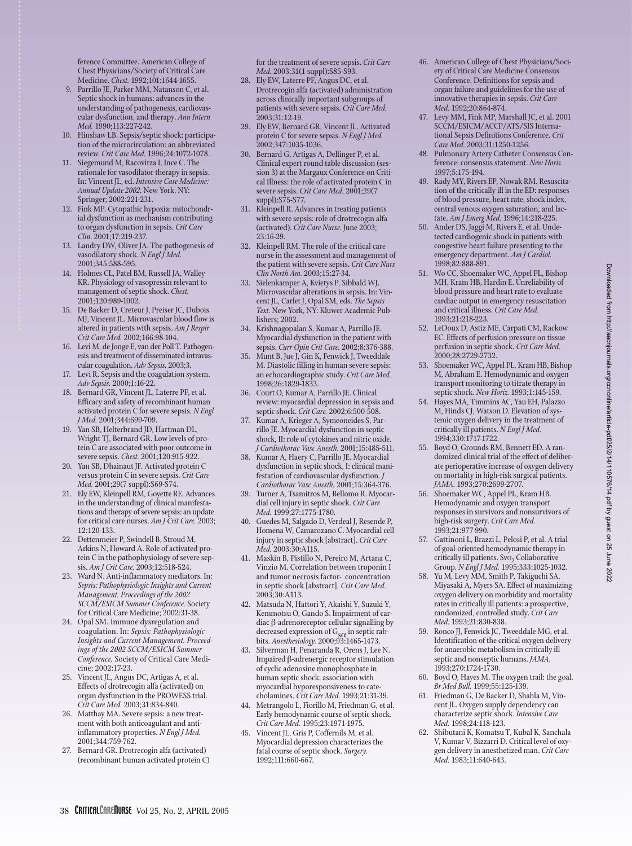ference Committee. American College of Chest Physicians/Society of Critical Care Medicine. *Chest.* 1992;101:1644-1655.

- 9. Parrillo JE, Parker MM, Natanson C, et al. Septic shock in humans: advances in the understanding of pathogenesis, cardiovascular dysfunction, and therapy. *Ann Intern Med.* 1990;113:227-242.
- 10. Hinshaw LB. Sepsis/septic shock: participation of the microcirculation: an abbreviated review. *Crit Care Med.* 1996;24:1072-1078.
- 11. Siegemund M, Racovitza I, Ince C. The rationale for vasodilator therapy in sepsis. In: Vincent JL, ed. *Intensive Care Medicine: Annual Update 2002.* New York, NY: Springer; 2002:221-231.
- 12. Fink MP. Cytopathic hypoxia: mitochondrial dysfunction as mechanism contributing to organ dysfunction in sepsis. *Crit Care Clin.* 2001;17:219-237.
- 13. Landry DW, Oliver JA. The pathogenesis of vasodilatory shock. *N Engl J Med.* 2001;345:588-595.
- 14. Holmes CL, Patel BM, Russell JA, Walley KR. Physiology of vasopressin relevant to management of septic shock. *Chest.* 2001;120:989-1002.
- 15. De Backer D, Creteur J, Preiser JC, Dubois MJ, Vincent JL. Microvascular blood flow is altered in patients with sepsis. *Am J Respir Crit Care Med.* 2002;166:98-104.
- 16. Levi M, de Jonge E, van der Poll T. Pathogenesis and treatment of disseminated intravascular coagulation. *Adv Sepsis.* 2003;3.
- 17. Levi R. Sepsis and the coagulation system. *Adv Sepsis.* 2000;1:16-22.
- 18. Bernard GR, Vincent JL, Laterre PF, et al. Efficacy and safety of recombinant human activated protein C for severe sepsis. *N Engl J Med.* 2001;344:699-709.
- 19. Yan SB, Helterbrand JD, Hartman DL, Wright TJ, Bernard GR. Low levels of protein C are associated with poor outcome in severe sepsis. *Chest.* 2001;120:915-922.
- 20. Yan SB, Dhainaut JF. Activated protein C versus protein C in severe sepsis. *Crit Care Med.* 2001;29(7 suppl):S69-S74.
- 21. Ely EW, Kleinpell RM, Goyette RE. Advances in the understanding of clinical manifestations and therapy of severe sepsis: an update for critical care nurses. *Am J Crit Care.* 2003; 12:120-133.
- 22. Dettenmeier P, Swindell B, Stroud M, Arkins N, Howard A. Role of activated protein C in the pathophysiology of severe sepsis. *Am J Crit Care.* 2003;12:518-524.
- 23. Ward N. Anti-inflammatory mediators. In: *Sepsis: Pathophysiologic Insights and Current Management. Proceedings of the 2002 SCCM/ESICM Summer Conference.* Society for Critical Care Medicine; 2002:31-38.
- 24. Opal SM. Immune dysregulation and coagulation. In: *Sepsis: Pathophysiologic Insights and Current Management. Proceedings of the 2002 SCCM/ESICM Summer Conference.* Society of Critical Care Medicine; 2002:17-23.
- 25. Vincent JL, Angus DC, Artigas A, et al. Effects of drotrecogin alfa (activated) on organ dysfunction in the PROWESS trial. *Crit Care Med.* 2003;31:834-840.
- 26. Matthay MA. Severe sepsis: a new treatment with both anticoagulant and antiinflammatory properties. *N Engl J Med.* 2001;344:759-762.
- 27. Bernard GR. Drotrecogin alfa (activated) (recombinant human activated protein C)

for the treatment of severe sepsis. *Crit Care Med.* 2003;31(1 suppl):S85-S93.

- 28. Ely EW, Laterre PF, Angus DC, et al. Drotrecogin alfa (activated) administration across clinically important subgroups of patients with severe sepsis. *Crit Care Med.*  $2003.31.12.19$
- 29. Ely EW, Bernard GR, Vincent JL. Activated protein C for severe sepsis. *N Engl J Med.* 2002;347:1035-1036.
- 30. Bernard G, Artigas A, Dellinger P, et al. Clinical expert round table discussion (session 3) at the Margaux Conference on Critical Illness: the role of activated protein C in severe sepsis. *Crit Care Med.* 2001;29(7 suppl):S75-S77.
- 31. Kleinpell R. Advances in treating patients with severe sepsis: role of drotrecogin alfa (activated). *Crit Care Nurse.* June 2003; 23:16-29.
- 32. Kleinpell RM. The role of the critical care nurse in the assessment and management of the patient with severe sepsis. *Crit Care Nurs Clin North Am.* 2003;15:27-34.
- 33. Sielenkamper A, Kvietys P, Sibbald WJ. Microvascular alterations in sepsis. In: Vincent JL, Carlet J, Opal SM, eds. *The Sepsis Text.* New York, NY: Kluwer Academic Publishers; 2002.
- 34. Krishnagopalan S, Kumar A, Parrillo JE. Myocardial dysfunction in the patient with sepsis. *Curr Opin Crit Care.* 2002;8:376-388.
- 35. Munt B, Jue J, Gin K, Fenwick J, Tweeddale M. Diastolic filling in human severe sepsis: an echocardiographic study. *Crit Care Med.* 1998;26:1829-1833.
- 36. Court O, Kumar A, Parrillo JE. Clinical review: myocardial depression in sepsis and septic shock. *Crit Care.* 2002;6:500-508.
- 37. Kumar A, Krieger A, Symeoneides S, Parrillo JE. Myocardial dysfunction in septic shock, II: role of cytokines and nitric oxide. *J Cardiothorac Vasc Anesth.* 2001;15:485-511.
- 38. Kumar A, Haery C, Parrillo JE. Myocardial dysfunction in septic shock, I: clinical manifestation of cardiovascular dysfunction. *J Cardiothorac Vasc Anesth.* 2001;15:364-376.
- 39. Turner A, Tsamitros M, Bellomo R. Myocardial cell injury in septic shock. *Crit Care Med.* 1999;27:1775-1780.
- 40. Guedes M, Salgado D, Verdeal J, Resende P, Homena W, Camarozano C. Myocardial cell injury in septic shock [abstract]. *Crit Care Med.* 2003;30:A115.
- 41. Maskin B, Pistillo N, Pereiro M, Artana C, Vinzio M. Correlation between troponin I and tumor necrosis factor- concentration in septic shock [abstract]. *Crit Care Med.* 2003;30:A113.
- 42. Matsuda N, Hattori Y, Akaishi Y, Suzuki Y, Kemmotsu O, Gando S. Impairment of cardiac β-adrenoreceptor cellular signalling by decreased expression of G<sub>s $\alpha$ </sub> in septic rab-<br>bits. *Anesthesiology.* 2000;93:1465-1473.
- 43. Silverman H, Penaranda R, Orens J, Lee N. Impaired β-adrenergic receptor stimulation of cyclic adenosine monophosphate in human septic shock: association with myocardial hyporesponsiveness to catecholamines. *Crit Care Med.* 1993;21:31-39.
- 44. Metrangolo L, Fiorillo M, Friedman G, et al. Early hemodynamic course of septic shock. *Crit Care Med.* 1995;23:1971-1975.
- 45. Vincent JL, Gris P, Coffernils M, et al. Myocardial depression characterizes the fatal course of septic shock. *Surgery.* 1992;111:660-667.
- 46. American College of Chest Physicians/Society of Critical Care Medicine Consensus Conference. Definitions for sepsis and organ failure and guidelines for the use of innovative therapies in sepsis. *Crit Care Med.* 1992;20:864-874.
- 47. Levy MM, Fink MP, Marshall JC, et al. 2001 SCCM/ESICM/ACCP/ATS/SIS International Sepsis Definitions Conference. *Crit Care Med.* 2003;31:1250-1256.
- 48. Pulmonary Artery Catheter Consensus Conference: consensus statement. *New Horiz.* 1997;5:175-194.
- 49. Rady MY, Rivers EP, Nowak RM. Resuscitation of the critically ill in the ED: responses of blood pressure, heart rate, shock index, central venous oxygen saturation, and lactate. *Am J Emerg Med.* 1996;14:218-225.
- 50. Ander DS, Jaggi M, Rivers E, et al. Undetected cardiogenic shock in patients with congestive heart failure presenting to the emergency department. *Am J Cardiol.* 1998;82:888-891.
- 51. Wo CC, Shoemaker WC, Appel PL, Bishop MH, Kram HB, Hardin E. Unreliability of blood pressure and heart rate to evaluate cardiac output in emergency resuscitation and critical illness. *Crit Care Med.* 1993;21:218-223.
- 52. LeDoux D, Astiz ME, Carpati CM, Rackow EC. Effects of perfusion pressure on tissue perfusion in septic shock. *Crit Care Med.* 2000;28:2729-2732.
- 53. Shoemaker WC, Appel PL, Kram HB, Bishop M, Abraham E. Hemodynamic and oxygen transport monitoring to titrate therapy in septic shock. *New Horiz.* 1993;1:145-159.
- 54. Hayes MA, Timmins AC, Yau EH, Palazzo M, Hinds CJ, Watson D. Elevation of systemic oxygen delivery in the treatment of critically ill patients. *N Engl J Med.* 1994;330:1717-1722.
- 55. Boyd O, Grounds RM, Bennett ED. A randomized clinical trial of the effect of deliberate perioperative increase of oxygen delivery on mortality in high-risk surgical patients. *JAMA.* 1993;270:2699-2707.
- 56. Shoemaker WC, Appel PL, Kram HB. Hemodynamic and oxygen transport responses in survivors and nonsurvivors of high-risk surgery. *Crit Care Med.* 1993;21:977-990.
- 57. Gattinoni L, Brazzi L, Pelosi P, et al. A trial of goal-oriented hemodynamic therapy in critically ill patients. SvO<sub>2</sub> Collaborative Group. *N Engl J Med.* 1995;333:1025-1032.
- 58. Yu M, Levy MM, Smith P, Takiguchi SA, Miyasaki A, Myers SA. Effect of maximizing oxygen delivery on morbidity and mortality rates in critically ill patients: a prospective, randomized, controlled study. *Crit Care Med.* 1993;21:830-838.
- 59. Ronco JJ, Fenwick JC, Tweeddale MG, et al. Identification of the critical oxygen delivery for anaerobic metabolism in critically ill septic and nonseptic humans. *JAMA.* 1993;270:1724-1730.
- 60. Boyd O, Hayes M. The oxygen trail: the goal. *Br Med Bull.* 1999;55:125-139.
- 61. Friedman G, De Backer D, Shahla M, Vincent JL. Oxygen supply dependency can characterize septic shock. *Intensive Care Med.* 1998;24:118-123.
- 62. Shibutani K, Komatsu T, Kubal K, Sanchala V, Kumar V, Bizzarri D. Critical level of oxygen delivery in anesthetized man. *Crit Care Med.* 1983;11:640-643.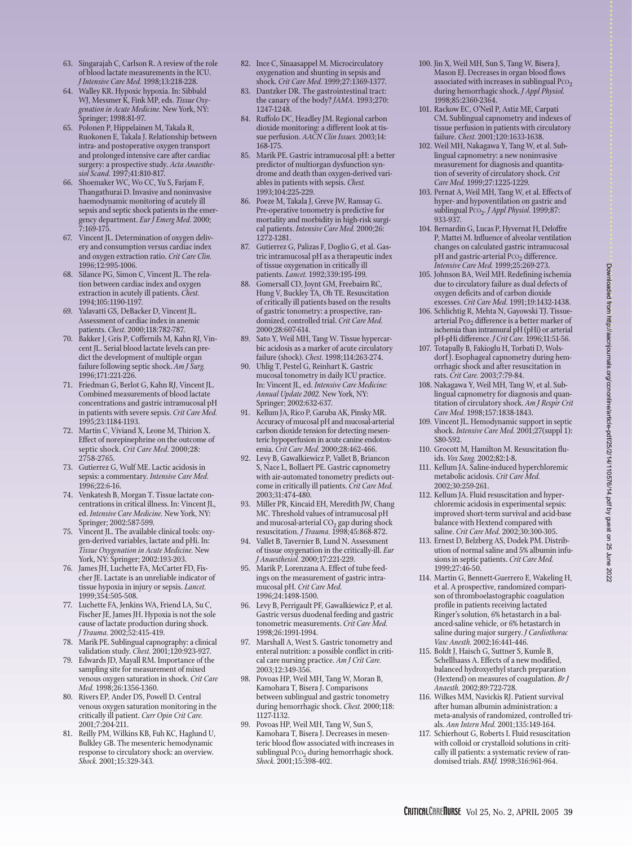- 63. Singarajah C, Carlson R. A review of the role of blood lactate measurements in the ICU. *J Intensive Care Med.* 1998;13:218-228.
- 64. Walley KR. Hypoxic hypoxia. In: Sibbald WJ, Messmer K, Fink MP, eds. *Tissue Oxygenation in Acute Medicine.* New York, NY: Springer; 1998:81-97.
- 65. Polonen P, Hippelainen M, Takala R, Ruokonen E, Takala J. Relationship between intra- and postoperative oxygen transport and prolonged intensive care after cardiac surgery: a prospective study. *Acta Anaesthesiol Scand.* 1997;41:810-817.
- 66. Shoemaker WC, Wo CC, Yu S, Farjam F, Thangathurai D. Invasive and noninvasive haemodynamic monitoring of acutely ill sepsis and septic shock patients in the emergency department. *Eur J Emerg Med.* 2000; 7:169-175.
- 67. Vincent JL. Determination of oxygen delivery and consumption versus cardiac index and oxygen extraction ratio. *Crit Care Clin.* 1996;12:995-1006.
- 68. Silance PG, Simon C, Vincent JL. The relation between cardiac index and oxygen extraction in acutely ill patients. *Chest.* 1994;105:1190-1197.
- 69. Yalavatti GS, DeBacker D, Vincent JL. Assessment of cardiac index in anemic patients. *Chest.* 2000;118:782-787.
- 70. Bakker J, Gris P, Coffernils M, Kahn RJ, Vincent JL. Serial blood lactate levels can predict the development of multiple organ failure following septic shock. *Am J Surg.* 1996;171:221-226.
- 71. Friedman G, Berlot G, Kahn RJ, Vincent JL. Combined measurements of blood lactate concentrations and gastric intramucosal pH in patients with severe sepsis. *Crit Care Med.* 1995;23:1184-1193.
- 72. Martin C, Viviand X, Leone M, Thirion X. Effect of norepinephrine on the outcome of septic shock. *Crit Care Med.* 2000;28: 2758-2765.
- 73. Gutierrez G, Wulf ME. Lactic acidosis in sepsis: a commentary. *Intensive Care Med.*  $1996.22.6-16$ .
- 74. Venkatesh B, Morgan T. Tissue lactate concentrations in critical illness. In: Vincent JL, ed. *Intensive Care Medicine.* New York, NY: Springer; 2002:587-599.
- 75. Vincent JL. The available clinical tools: oxygen-derived variables, lactate and pHi. In: *Tissue Oxygenation in Acute Medicine.* New York, NY: Springer; 2002:193-203.
- 76. James JH, Luchette FA, McCarter FD, Fischer JE. Lactate is an unreliable indicator of tissue hypoxia in injury or sepsis. *Lancet.* 1999;354:505-508.
- 77. Luchette FA, Jenkins WA, Friend LA, Su C, Fischer JE, James JH. Hypoxia is not the sole cause of lactate production during shock. *J Trauma.* 2002;52:415-419.
- 78. Marik PE. Sublingual capnography: a clinical validation study. *Chest.* 2001;120:923-927.
- 79. Edwards JD, Mayall RM. Importance of the sampling site for measurement of mixed venous oxygen saturation in shock. *Crit Care Med.* 1998;26:1356-1360.
- 80. Rivers EP, Ander DS, Powell D. Central venous oxygen saturation monitoring in the critically ill patient. *Curr Opin Crit Care.* 2001;7:204-211.
- 81. Reilly PM, Wilkins KB, Fuh KC, Haglund U, Bulkley GB. The mesenteric hemodynamic response to circulatory shock: an overview. *Shock.* 2001;15:329-343.
- 82. Ince C, Sinaasappel M. Microcirculatory oxygenation and shunting in sepsis and shock. *Crit Care Med.* 1999;27:1369-1377.
- 83. Dantzker DR. The gastrointestinal tract: the canary of the body? *JAMA.* 1993;270: 1247-1248.
- 84. Ruffolo DC, Headley JM. Regional carbon dioxide monitoring: a different look at tissue perfusion. *AACN Clin Issues.* 2003;14: 168-175.
- 85. Marik PE. Gastric intramucosal pH: a better predictor of multiorgan dysfunction syndrome and death than oxygen-derived variables in patients with sepsis. *Chest.* 1993;104:225-229.
- 86. Poeze M, Takala J, Greve JW, Ramsay G. Pre-operative tonometry is predictive for mortality and morbidity in high-risk surgical patients. *Intensive Care Med.* 2000;26: 1272-1281.
- 87. Gutierrez G, Palizas F, Doglio G, et al. Gastric intramucosal pH as a therapeutic index of tissue oxygenation in critically ill patients. *Lancet.* 1992;339:195-199.
- 88. Gomersall CD, Joynt GM, Freebairn RC, Hung V, Buckley TA, Oh TE. Resuscitation of critically ill patients based on the results of gastric tonometry: a prospective, randomized, controlled trial. *Crit Care Med.* 2000;28:607-614.
- 89. Sato Y, Weil MH, Tang W. Tissue hypercarbic acidosis as a marker of acute circulatory failure (shock). *Chest.* 1998;114:263-274.
- 90. Uhlig T, Pestel G, Reinhart K. Gastric mucosal tonometry in daily ICU practice. In: Vincent JL, ed. *Intensive Care Medicine: Annual Update 2002.* New York, NY: Springer; 2002:632-637.
- 91. Kellum JA, Rico P, Garuba AK, Pinsky MR. Accuracy of mucosal pH and mucosal-arterial carbon dioxide tension for detecting mesenteric hypoperfusion in acute canine endotoxemia. *Crit Care Med.* 2000;28:462-466.
- 92. Levy B, Gawalkiewicz P, Vallet B, Briancon S, Nace L, Bollaert PE. Gastric capnometry with air-automated tonometry predicts outcome in critically ill patients. *Crit Care Med.* 2003;31:474-480.
- 93. Miller PR, Kincaid EH, Meredith JW, Chang MC. Threshold values of intramucosal pH and mucosal-arterial  $CO<sub>2</sub>$  gap during shock resuscitation. *J Trauma.* 1998;45:868-872.
- 94. Vallet B, Tavernier B, Lund N. Assessment of tissue oxygenation in the critically-ill. *Eur J Anaesthesiol.* 2000;17:221-229.
- 95. Marik P, Lorenzana A. Effect of tube feedings on the measurement of gastric intramucosal pH. *Crit Care Med.* 1996;24:1498-1500.
- 96. Levy B, Perrigault PF, Gawalkiewicz P, et al. Gastric versus duodenal feeding and gastric tonometric measurements. *Crit Care Med.* 1998;26:1991-1994.
- 97. Marshall A, West S. Gastric tonometry and enteral nutrition: a possible conflict in critical care nursing practice. *Am J Crit Care.* 2003;12:349-356.
- 98. Povoas HP, Weil MH, Tang W, Moran B, Kamohara T, Bisera J. Comparisons between sublingual and gastric tonometry during hemorrhagic shock. *Chest.* 2000;118: 1127-1132.
- 99. Povoas HP, Weil MH, Tang W, Sun S, Kamohara T, Bisera J. Decreases in mesenteric blood flow associated with increases in sublingual  $PCO<sub>2</sub>$  during hemorrhagic shock. *Shock.* 2001;15:398-402.
- 100. Jin X, Weil MH, Sun S, Tang W, Bisera J, Mason EJ. Decreases in organ blood flows associated with increases in sublingual  $PCO<sub>2</sub>$ during hemorrhagic shock. *J Appl Physiol.* 1998;85:2360-2364.
- 101. Rackow EC, O'Neil P, Astiz ME, Carpati CM. Sublingual capnometry and indexes of tissue perfusion in patients with circulatory failure. *Chest.* 2001;120:1633-1638.
- 102. Weil MH, Nakagawa Y, Tang W, et al. Sublingual capnometry: a new noninvasive measurement for diagnosis and quantitation of severity of circulatory shock. *Crit Care Med.* 1999;27:1225-1229.
- 103. Pernat A, Weil MH, Tang W, et al. Effects of hyper- and hypoventilation on gastric and sublingual PCO2. *J Appl Physiol.* 1999;87: 933-937.
- 104. Bernardin G, Lucas P, Hyvernat H, Deloffre P, Mattei M. Influence of alveolar ventilation changes on calculated gastric intramucosal pH and gastric-arterial  $PCO<sub>2</sub>$  difference. *Intensive Care Med.* 1999;25:269-273.
- 105. Johnson BA, Weil MH. Redefining ischemia due to circulatory failure as dual defects of oxygen deficits and of carbon dioxide excesses. *Crit Care Med.* 1991;19:1432-1438.
- 106. Schlichtig R, Mehta N, Gayowski TJ. Tissuearterial  $P_{CO_2}$  difference is a better marker of ischemia than intramural pH (pHi) or arterial pH-pHi difference. *J Crit Care.* 1996;11:51-56.
- 107. Totapally B, Fakioglu H, Torbati D, Wolsdorf). Esophageal capnometry during hemorrhagic shock and after resuscitation in rats. *Crit Care.* 2003;7:79-84.
- 108. Nakagawa Y, Weil MH, Tang W, et al. Sublingual capnometry for diagnosis and quantitation of circulatory shock. *Am J Respir Crit Care Med.* 1998;157:1838-1843.
- 109. Vincent JL. Hemodynamic support in septic shock. *Intensive Care Med.* 2001;27(suppl 1): S80-S92.
- 110. Grocott M, Hamilton M. Resuscitation fluids. *Vox Sang.* 2002;82:1-8.
- 111. Kellum JA. Saline-induced hyperchloremic metabolic acidosis. *Crit Care Med.* 2002;30:259-261.
- 112. Kellum JA. Fluid resuscitation and hyperchloremic acidosis in experimental sepsis: improved short-term survival and acid-base balance with Hextend compared with saline. *Crit Care Med.* 2002;30:300-305.
- 113. Ernest D, Belzberg AS, Dodek PM. Distribution of normal saline and 5% albumin infusions in septic patients. *Crit Care Med.* 1999;27:46-50.
- 114. Martin G, Bennett-Guerrero E, Wakeling H, et al. A prospective, randomized comparison of thromboelastographic coagulation profile in patients receiving lactated Ringer's solution, 6% hetastarch in a balanced-saline vehicle, or 6% hetastarch in saline during major surgery. *J Cardiothorac Vasc Anesth.* 2002;16:441-446.
- 115. Boldt J, Haisch G, Suttner S, Kumle B, Schellhaass A. Effects of a new modified, balanced hydroxyethyl starch preparation (Hextend) on measures of coagulation. *Br J Anaesth.* 2002;89:722-728.
- 116. Wilkes MM, Navickis RJ. Patient survival after human albumin administration: a meta-analysis of randomized, controlled trials. *Ann Intern Med.* 2001;135:149-164.
- 117. Schierhout G, Roberts I. Fluid resuscitation with colloid or crystalloid solutions in critically ill patients: a systematic review of randomised trials. *BMJ.* 1998;316:961-964.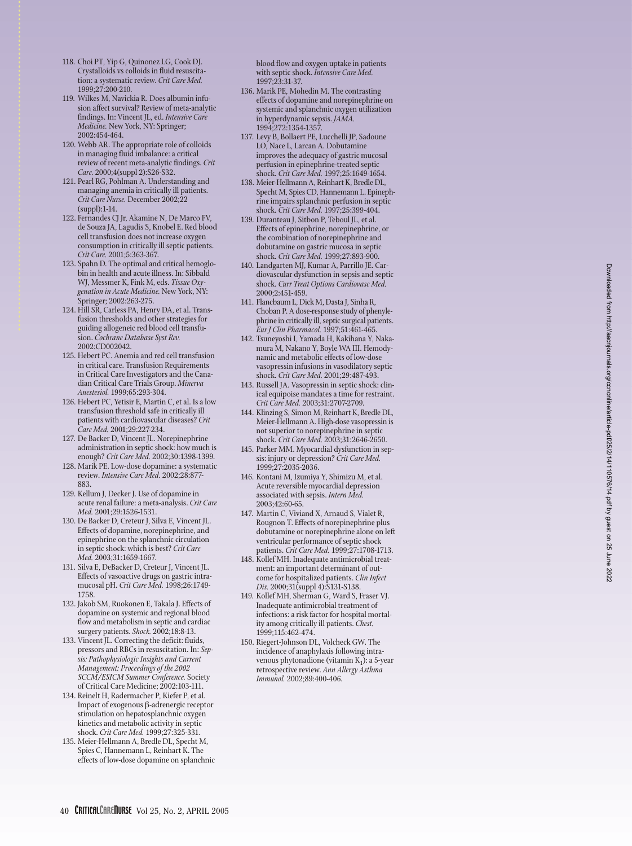- 118. Choi PT, Yip G, Quinonez LG, Cook DJ. Crystalloids vs colloids in fluid resuscitation: a systematic review. *Crit Care Med.* 1999;27:200-210.
- 119. Wilkes M, Navickia R. Does albumin infusion affect survival? Review of meta-analytic findings. In: Vincent JL, ed. *Intensive Care Medicine.* New York, NY: Springer; 2002:454-464.
- 120. Webb AR. The appropriate role of colloids in managing fluid imbalance: a critical review of recent meta-analytic findings. *Crit Care.* 2000;4(suppl 2):S26-S32.
- 121. Pearl RG, Pohlman A. Understanding and managing anemia in critically ill patients. *Crit Care Nurse.* December 2002;22 (suppl):1-14.
- 122. Fernandes CJ Jr, Akamine N, De Marco FV, de Souza JA, Lagudis S, Knobel E. Red blood cell transfusion does not increase oxygen consumption in critically ill septic patients. *Crit Care.* 2001;5:363-367.
- 123. Spahn D. The optimal and critical hemoglobin in health and acute illness. In: Sibbald WJ, Messmer K, Fink M, eds. *Tissue Oxygenation in Acute Medicine.* New York, NY: Springer; 2002:263-275.
- 124. Hill SR, Carless PA, Henry DA, et al. Transfusion thresholds and other strategies for guiding allogeneic red blood cell transfusion. *Cochrane Database Syst Rev.* 2002:CD002042.
- 125. Hebert PC. Anemia and red cell transfusion in critical care. Transfusion Requirements in Critical Care Investigators and the Canadian Critical Care Trials Group. *Minerva Anestesiol.* 1999;65:293-304.
- 126. Hebert PC, Yetisir E, Martin C, et al. Is a low transfusion threshold safe in critically ill patients with cardiovascular diseases? *Crit Care Med.* 2001;29:227-234.
- 127. De Backer D, Vincent JL. Norepinephrine administration in septic shock: how much is enough? *Crit Care Med.* 2002;30:1398-1399.
- 128. Marik PE. Low-dose dopamine: a systematic review. *Intensive Care Med.* 2002;28:877- 883.
- 129. Kellum J, Decker J. Use of dopamine in acute renal failure: a meta-analysis. *Crit Care Med.* 2001;29:1526-1531.
- 130. De Backer D, Creteur J, Silva E, Vincent JL. Effects of dopamine, norepinephrine, and epinephrine on the splanchnic circulation in septic shock: which is best? *Crit Care Med.* 2003;31:1659-1667.
- 131. Silva E, DeBacker D, Creteur J, Vincent JL. Effects of vasoactive drugs on gastric intramucosal pH. *Crit Care Med.* 1998;26:1749- 1758.
- 132. Jakob SM, Ruokonen E, Takala J. Effects of dopamine on systemic and regional blood flow and metabolism in septic and cardiac surgery patients. *Shock.* 2002;18:8-13.
- 133. Vincent JL. Correcting the deficit: fluids, pressors and RBCs in resuscitation. In: *Sepsis: Pathophysiologic Insights and Current Management: Proceedings of the 2002 SCCM/ESICM Summer Conference.* Society of Critical Care Medicine; 2002:103-111.
- 134. Reinelt H, Radermacher P, Kiefer P, et al. Impact of exogenous β-adrenergic receptor stimulation on hepatosplanchnic oxygen kinetics and metabolic activity in septic shock. *Crit Care Med.* 1999;27:325-331.
- 135. Meier-Hellmann A, Bredle DL, Specht M, Spies C, Hannemann L, Reinhart K. The effects of low-dose dopamine on splanchnic

blood flow and oxygen uptake in patients with septic shock. *Intensive Care Med.* 1997;23:31-37.

- 136. Marik PE, Mohedin M. The contrasting effects of dopamine and norepinephrine on systemic and splanchnic oxygen utilization in hyperdynamic sepsis. *JAMA.* 1994;272:1354-1357.
- 137. Levy B, Bollaert PE, Lucchelli JP, Sadoune LO, Nace L, Larcan A. Dobutamine improves the adequacy of gastric mucosal perfusion in epinephrine-treated septic shock. *Crit Care Med.* 1997;25:1649-1654.
- 138. Meier-Hellmann A, Reinhart K, Bredle DL, Specht M, Spies CD, Hannemann L. Epinephrine impairs splanchnic perfusion in septic shock. *Crit Care Med.* 1997;25:399-404.
- 139. Duranteau J, Sitbon P, Teboul JL, et al. Effects of epinephrine, norepinephrine, or the combination of norepinephrine and dobutamine on gastric mucosa in septic shock. *Crit Care Med.* 1999;27:893-900.
- 140. Landgarten MJ, Kumar A, Parrillo JE. Cardiovascular dysfunction in sepsis and septic shock. *Curr Treat Options Cardiovasc Med.* 2000;2:451-459.
- 141. Flancbaum L, Dick M, Dasta J, Sinha R, Choban P. A dose-response study of phenylephrine in critically ill, septic surgical patients. *Eur J Clin Pharmacol.* 1997;51:461-465.
- 142. Tsuneyoshi I, Yamada H, Kakihana Y, Nakamura M, Nakano Y, Boyle WA III. Hemodynamic and metabolic effects of low-dose vasopressin infusions in vasodilatory septic shock. *Crit Care Med.* 2001;29:487-493.
- 143. Russell JA. Vasopressin in septic shock: clinical equipoise mandates a time for restraint. *Crit Care Med.* 2003;31:2707-2709.
- 144. Klinzing S, Simon M, Reinhart K, Bredle DL, Meier-Hellmann A. High-dose vasopressin is not superior to norepinephrine in septic shock. *Crit Care Med.* 2003;31:2646-2650.
- 145. Parker MM. Myocardial dysfunction in sepsis: injury or depression? *Crit Care Med.* 1999;27:2035-2036.
- 146. Kontani M, Izumiya Y, Shimizu M, et al. Acute reversible myocardial depression associated with sepsis. *Intern Med.* 2003;42:60-65.
- 147. Martin C, Viviand X, Arnaud S, Vialet R, Rougnon T. Effects of norepinephrine plus dobutamine or norepinephrine alone on left ventricular performance of septic shock patients. *Crit Care Med.* 1999;27:1708-1713.
- 148. Kollef MH. Inadequate antimicrobial treatment: an important determinant of outcome for hospitalized patients. *Clin Infect Dis.* 2000;31(suppl 4):S131-S138.
- 149. Kollef MH, Sherman G, Ward S, Fraser VJ. Inadequate antimicrobial treatment of infections: a risk factor for hospital mortality among critically ill patients. *Chest.* 1999;115:462-474.
- 150. Riegert-Johnson DL, Volcheck GW. The incidence of anaphylaxis following intravenous phytonadione (vitamin  $K_1$ ): a 5-year retrospective review. *Ann Allergy Asthma Immunol.* 2002;89:400-406.

40 CRITICALCAREIIURSE Vol 25, No. 2, APRIL 2005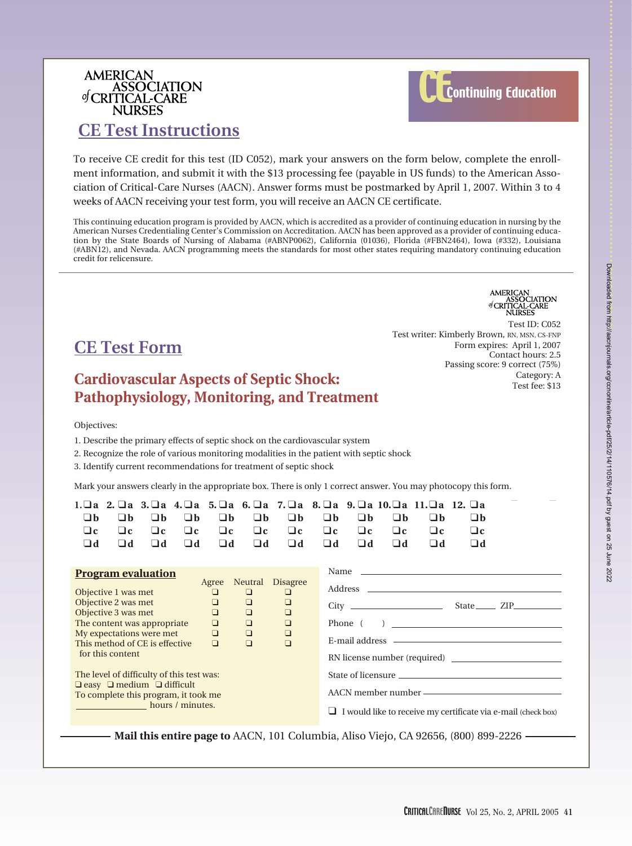## AMERICAN<br>ASSOCIATION of CRITICAL-CARE **NURSES**



## **CE Test Instructions**

To receive CE credit for this test (ID C052), mark your answers on the form below, complete the enrollment information, and submit it with the \$13 processing fee (payable in US funds) to the American Association of Critical-Care Nurses (AACN). Answer forms must be postmarked by April 1, 2007. Within 3 to 4 weeks of AACN receiving your test form, you will receive an AACN CE certificate.

This continuing education program is provided by AACN, which is accredited as a provider of continuing education in nursing by the American Nurses Credentialing Center's Commission on Accreditation. AACN has been approved as a provider of continuing education by the State Boards of Nursing of Alabama (#ABNP0062), California (01036), Florida (#FBN2464), Iowa (#332), Louisiana (#ABN12), and Nevada. AACN programming meets the standards for most other states requiring mandatory continuing education credit for relicensure.

## **CE Test Form**

### **Cardiovascular Aspects of Septic Shock: Pathophysiology, Monitoring, and Treatment**

AMERICAN<br>ASSOCIATION<br>of CRITICAL-CARE<br>NURSES

Test ID: C052 Test writer: Kimberly Brown, RN, MSN, CS-FNP Form expires: April 1, 2007 Contact hours: 2.5 Passing score: 9 correct (75%) Category: A Test fee: \$13

Objectives:

1. Describe the primary effects of septic shock on the cardiovascular system

2. Recognize the role of various monitoring modalities in the patient with septic shock

3. Identify current recommendations for treatment of septic shock

Mark your answers clearly in the appropriate box. There is only 1 correct answer. You may photocopy this form.

| 1.□a<br>□h<br>$\sqcup$ c<br>$\mathbf{h} \Box$                                                                                                                                                                                                                                                                                                                                                                                    | □b<br>$\Box$ c<br>$\Box$ d | □b<br>$\Box$ c<br>$\Box$ d | □b<br>$\Box$ c<br>$\Box$ d | □b<br>$\Box$ c<br>$\Box$ d | $\Box b$<br>$\Box$ c<br>$\Box$ d | $\Box b$<br>$\Box$ c<br>$\Box$ d | $\Box b$<br>$\Box$ c<br>$\Box$ d                                                                                                                               | □b<br>$\Box$ c<br>$\Box$ d | $\Box b$<br>$\Box$ c<br>$\Box$ d | 2. a 3. a 4. a 5. a 6. a 7. a 8. a 9. a 10. a 11. a 12. a<br>□b<br>$\Box$ c<br>$\Box$ d | $\Box$ b<br>$\Box$ c<br>$\Box$ d |  |
|----------------------------------------------------------------------------------------------------------------------------------------------------------------------------------------------------------------------------------------------------------------------------------------------------------------------------------------------------------------------------------------------------------------------------------|----------------------------|----------------------------|----------------------------|----------------------------|----------------------------------|----------------------------------|----------------------------------------------------------------------------------------------------------------------------------------------------------------|----------------------------|----------------------------------|-----------------------------------------------------------------------------------------|----------------------------------|--|
| <b>Program evaluation</b><br>Neutral<br><b>Disagree</b><br>Agree<br>Objective 1 was met<br>$\Box$<br>$\Box$<br>□<br>Objective 2 was met<br>$\Box$<br>$\Box$<br>$\Box$<br>Objective 3 was met<br>$\Box$<br>$\Box$<br>$\Box$<br>The content was appropriate<br>$\Box$<br>$\Box$<br>$\Box$<br>My expectations were met<br>$\Box$<br>$\Box$<br>O<br>This method of CE is effective<br>$\Box$<br>$\Box$<br>$\Box$<br>for this content |                            |                            |                            |                            |                                  |                                  | Name $\frac{1}{\sqrt{1-\frac{1}{2}}\left(\frac{1}{2}-\frac{1}{2}\right)}$<br>$City$ $State$ $ZIP$<br>$\overline{a}$<br>Phone (<br>RN license number (required) |                            |                                  |                                                                                         |                                  |  |
| The level of difficulty of this test was:<br>$\Box$ easy $\Box$ medium $\Box$ difficult<br>To complete this program, it took me<br><b>Example 2018 hours</b> / minutes.                                                                                                                                                                                                                                                          |                            |                            |                            |                            |                                  | ⊔                                | I would like to receive my certificate via e-mail (check box)                                                                                                  |                            |                                  |                                                                                         |                                  |  |

**Mail this entire page to** AACN, 101 Columbia, Aliso Viejo, CA 92656, (800) 899-2226